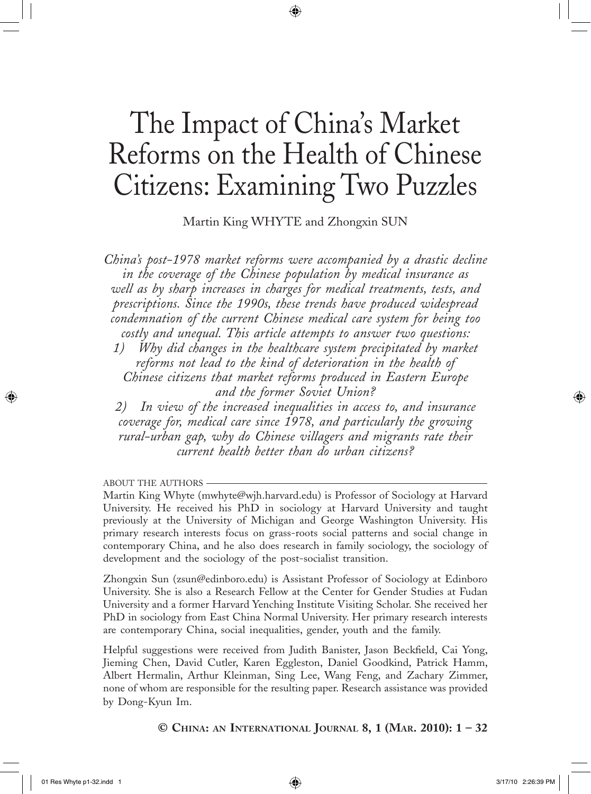# The Impact of China's Market Reforms on the Health of Chinese Citizens: Examining Two Puzzles

◈

Martin King WHYTE and Zhongxin SUN

*China's post-1978 market reforms were accompanied by a drastic decline in the coverage of the Chinese population by medical insurance as well as by sharp increases in charges for medical treatments, tests, and prescriptions. Since the 1990s, these trends have produced widespread condemnation of the current Chinese medical care system for being too costly and unequal. This article attempts to answer two questions:*

*1) Why did changes in the healthcare system precipitated by market reforms not lead to the kind of deterioration in the health of Chinese citizens that market reforms produced in Eastern Europe and the former Soviet Union?*

*2) In view of the increased inequalities in access to, and insurance coverage for, medical care since 1978, and particularly the growing rural-urban gap, why do Chinese villagers and migrants rate their current health better than do urban citizens?*

ABOUT THE AUTHORS

Martin King Whyte (mwhyte@wjh.harvard.edu) is Professor of Sociology at Harvard University. He received his PhD in sociology at Harvard University and taught previously at the University of Michigan and George Washington University. His primary research interests focus on grass-roots social patterns and social change in contemporary China, and he also does research in family sociology, the sociology of development and the sociology of the post-socialist transition.

Zhongxin Sun (zsun@edinboro.edu) is Assistant Professor of Sociology at Edinboro University. She is also a Research Fellow at the Center for Gender Studies at Fudan University and a former Harvard Yenching Institute Visiting Scholar. She received her PhD in sociology from East China Normal University. Her primary research interests are contemporary China, social inequalities, gender, youth and the family.

Helpful suggestions were received from Judith Banister, Jason Beckfield, Cai Yong, Jieming Chen, David Cutler, Karen Eggleston, Daniel Goodkind, Patrick Hamm, Albert Hermalin, Arthur Kleinman, Sing Lee, Wang Feng, and Zachary Zimmer, none of whom are responsible for the resulting paper. Research assistance was provided by Dong-Kyun Im.

# **© CHINA: AN INTERNATIONAL JOURNAL 8, 1 (MAR. 2010): 1 – 32**

 $\bigcirc$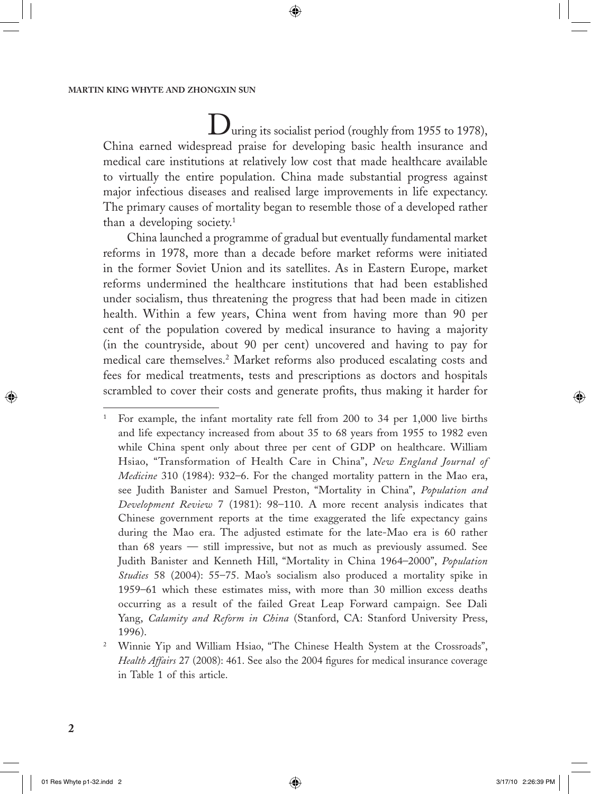During its socialist period (roughly from 1955 to 1978), China earned widespread praise for developing basic health insurance and medical care institutions at relatively low cost that made healthcare available to virtually the entire population. China made substantial progress against major infectious diseases and realised large improvements in life expectancy. The primary causes of mortality began to resemble those of a developed rather than a developing society.1

◈

China launched a programme of gradual but eventually fundamental market reforms in 1978, more than a decade before market reforms were initiated in the former Soviet Union and its satellites. As in Eastern Europe, market reforms undermined the healthcare institutions that had been established under socialism, thus threatening the progress that had been made in citizen health. Within a few years, China went from having more than 90 per cent of the population covered by medical insurance to having a majority (in the countryside, about 90 per cent) uncovered and having to pay for medical care themselves.2 Market reforms also produced escalating costs and fees for medical treatments, tests and prescriptions as doctors and hospitals scrambled to cover their costs and generate profits, thus making it harder for

 $\bigcirc$ 

<sup>1</sup> For example, the infant mortality rate fell from 200 to 34 per 1,000 live births and life expectancy increased from about 35 to 68 years from 1955 to 1982 even while China spent only about three per cent of GDP on healthcare. William Hsiao, "Transformation of Health Care in China", *New England Journal of Medicine* 310 (1984): 932–6. For the changed mortality pattern in the Mao era, see Judith Banister and Samuel Preston, "Mortality in China", *Population and Development Review* 7 (1981): 98–110. A more recent analysis indicates that Chinese government reports at the time exaggerated the life expectancy gains during the Mao era. The adjusted estimate for the late-Mao era is 60 rather than 68 years — still impressive, but not as much as previously assumed. See Judith Banister and Kenneth Hill, "Mortality in China 1964–2000", *Population Studies* 58 (2004): 55–75. Mao's socialism also produced a mortality spike in 1959–61 which these estimates miss, with more than 30 million excess deaths occurring as a result of the failed Great Leap Forward campaign. See Dali Yang, *Calamity and Reform in China* (Stanford, CA: Stanford University Press, 1996).

<sup>2</sup> Winnie Yip and William Hsiao, "The Chinese Health System at the Crossroads", *Health Affairs* 27 (2008): 461. See also the 2004 figures for medical insurance coverage in Table 1 of this article.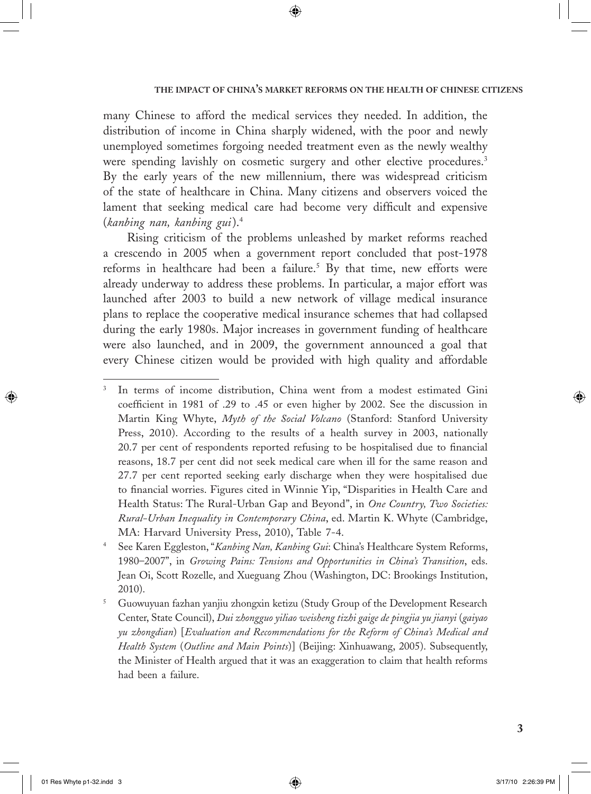many Chinese to afford the medical services they needed. In addition, the distribution of income in China sharply widened, with the poor and newly unemployed sometimes forgoing needed treatment even as the newly wealthy were spending lavishly on cosmetic surgery and other elective procedures.<sup>3</sup> By the early years of the new millennium, there was widespread criticism of the state of healthcare in China. Many citizens and observers voiced the lament that seeking medical care had become very difficult and expensive (*kanbing nan, kanbing gui*).4

◈

Rising criticism of the problems unleashed by market reforms reached a crescendo in 2005 when a government report concluded that post-1978 reforms in healthcare had been a failure.<sup>5</sup> By that time, new efforts were already underway to address these problems. In particular, a major effort was launched after 2003 to build a new network of village medical insurance plans to replace the cooperative medical insurance schemes that had collapsed during the early 1980s. Major increases in government funding of healthcare were also launched, and in 2009, the government announced a goal that every Chinese citizen would be provided with high quality and affordable

⊕

 $\Leftrightarrow$ 

<sup>3</sup> In terms of income distribution, China went from a modest estimated Gini coefficient in 1981 of .29 to .45 or even higher by 2002. See the discussion in Martin King Whyte, *Myth of the Social Volcano* (Stanford: Stanford University Press, 2010). According to the results of a health survey in 2003, nationally 20.7 per cent of respondents reported refusing to be hospitalised due to financial reasons, 18.7 per cent did not seek medical care when ill for the same reason and 27.7 per cent reported seeking early discharge when they were hospitalised due to financial worries. Figures cited in Winnie Yip, "Disparities in Health Care and Health Status: The Rural-Urban Gap and Beyond", in *One Country, Two Societies: Rural-Urban Inequality in Contemporary China*, ed. Martin K. Whyte (Cambridge, MA: Harvard University Press, 2010), Table 7-4.

<sup>4</sup> See Karen Eggleston, "*Kanbing Nan, Kanbing Gui*: China's Healthcare System Reforms, 1980–2007", in *Growing Pains: Tensions and Opportunities in China's Transition*, eds. Jean Oi, Scott Rozelle, and Xueguang Zhou (Washington, DC: Brookings Institution, 2010).

<sup>5</sup> Guowuyuan fazhan yanjiu zhongxin ketizu (Study Group of the Development Research Center, State Council), *Dui zhongguo yiliao weisheng tizhi gaige de pingjia yu jianyi* (*gaiyao yu zhongdian*) [*Evaluation and Recommendations for the Reform of China's Medical and Health System* (*Outline and Main Points*)] (Beijing: Xinhuawang, 2005). Subsequently, the Minister of Health argued that it was an exaggeration to claim that health reforms had been a failure.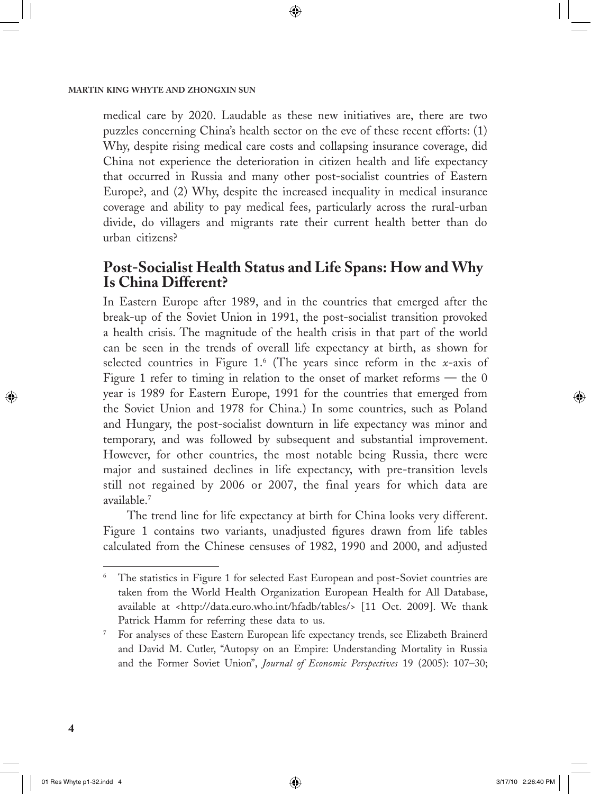medical care by 2020. Laudable as these new initiatives are, there are two puzzles concerning China's health sector on the eve of these recent efforts: (1) Why, despite rising medical care costs and collapsing insurance coverage, did China not experience the deterioration in citizen health and life expectancy that occurred in Russia and many other post-socialist countries of Eastern Europe?, and (2) Why, despite the increased inequality in medical insurance coverage and ability to pay medical fees, particularly across the rural-urban divide, do villagers and migrants rate their current health better than do urban citizens?

◈

# **Post-Socialist Health Status and Life Spans: How and Why Is China Different?**

In Eastern Europe after 1989, and in the countries that emerged after the break-up of the Soviet Union in 1991, the post-socialist transition provoked a health crisis. The magnitude of the health crisis in that part of the world can be seen in the trends of overall life expectancy at birth, as shown for selected countries in Figure 1.6 (The years since reform in the *x*-axis of Figure 1 refer to timing in relation to the onset of market reforms — the 0 year is 1989 for Eastern Europe, 1991 for the countries that emerged from the Soviet Union and 1978 for China.) In some countries, such as Poland and Hungary, the post-socialist downturn in life expectancy was minor and temporary, and was followed by subsequent and substantial improvement. However, for other countries, the most notable being Russia, there were major and sustained declines in life expectancy, with pre-transition levels still not regained by 2006 or 2007, the final years for which data are available.7

The trend line for life expectancy at birth for China looks very different. Figure 1 contains two variants, unadjusted figures drawn from life tables calculated from the Chinese censuses of 1982, 1990 and 2000, and adjusted

 $\bigcirc$ 

<sup>6</sup> The statistics in Figure 1 for selected East European and post-Soviet countries are taken from the World Health Organization European Health for All Database, available at <http://data.euro.who.int/hfadb/tables/> [11 Oct. 2009]. We thank Patrick Hamm for referring these data to us.

<sup>7</sup> For analyses of these Eastern European life expectancy trends, see Elizabeth Brainerd and David M. Cutler, "Autopsy on an Empire: Understanding Mortality in Russia and the Former Soviet Union", *Journal of Economic Perspectives* 19 (2005): 107–30;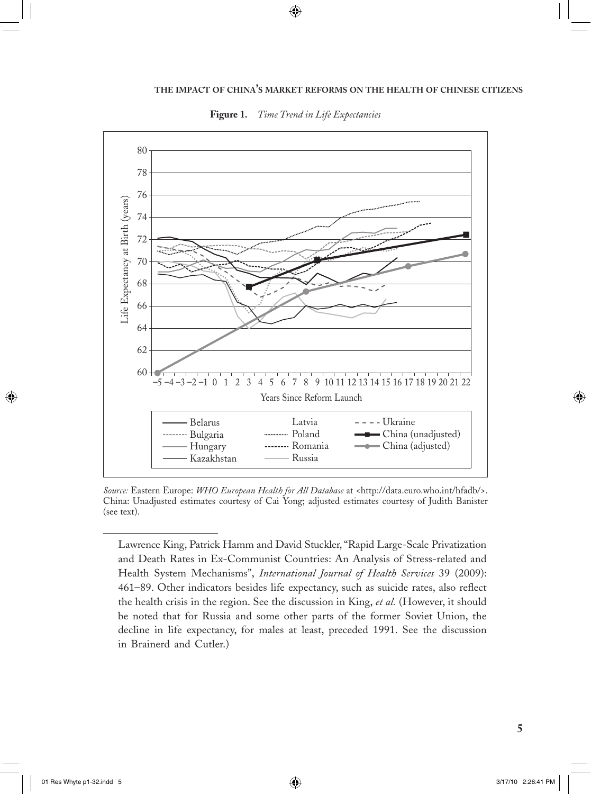

 $\bigcirc$ 



*Source:* Eastern Europe: *WHO European Health for All Database* at <http://data.euro.who.int/hfadb/>. China: Unadjusted estimates courtesy of Cai Yong; adjusted estimates courtesy of Judith Banister (see text).

 Lawrence King, Patrick Hamm and David Stuckler, "Rapid Large-Scale Privatization and Death Rates in Ex-Communist Countries: An Analysis of Stress-related and Health System Mechanisms", *International Journal of Health Services* 39 (2009): 461–89. Other indicators besides life expectancy, such as suicide rates, also reflect the health crisis in the region. See the discussion in King, *et al.* (However, it should be noted that for Russia and some other parts of the former Soviet Union, the decline in life expectancy, for males at least, preceded 1991. See the discussion in Brainerd and Cutler.)

 $\bigoplus$ 

 $\bigoplus$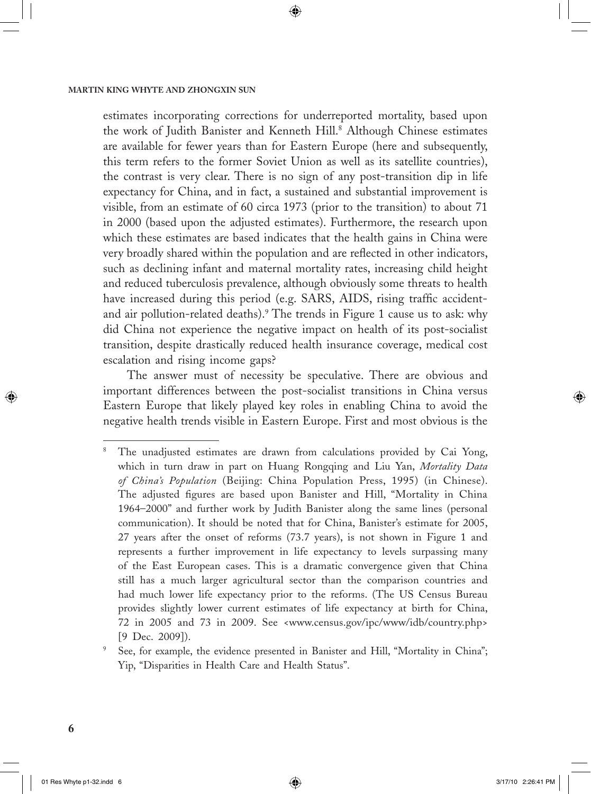estimates incorporating corrections for underreported mortality, based upon the work of Judith Banister and Kenneth Hill.<sup>8</sup> Although Chinese estimates are available for fewer years than for Eastern Europe (here and subsequently, this term refers to the former Soviet Union as well as its satellite countries), the contrast is very clear. There is no sign of any post-transition dip in life expectancy for China, and in fact, a sustained and substantial improvement is visible, from an estimate of 60 circa 1973 (prior to the transition) to about 71 in 2000 (based upon the adjusted estimates). Furthermore, the research upon which these estimates are based indicates that the health gains in China were very broadly shared within the population and are reflected in other indicators, such as declining infant and maternal mortality rates, increasing child height and reduced tuberculosis prevalence, although obviously some threats to health have increased during this period (e.g. SARS, AIDS, rising traffic accidentand air pollution-related deaths).9 The trends in Figure 1 cause us to ask: why did China not experience the negative impact on health of its post-socialist transition, despite drastically reduced health insurance coverage, medical cost escalation and rising income gaps?

◈

The answer must of necessity be speculative. There are obvious and important differences between the post-socialist transitions in China versus Eastern Europe that likely played key roles in enabling China to avoid the negative health trends visible in Eastern Europe. First and most obvious is the

 $\bigcirc$ 

<sup>8</sup> The unadjusted estimates are drawn from calculations provided by Cai Yong, which in turn draw in part on Huang Rongqing and Liu Yan, *Mortality Data of China's Population* (Beijing: China Population Press, 1995) (in Chinese). The adjusted figures are based upon Banister and Hill, "Mortality in China 1964–2000" and further work by Judith Banister along the same lines (personal communication). It should be noted that for China, Banister's estimate for 2005, 27 years after the onset of reforms (73.7 years), is not shown in Figure 1 and represents a further improvement in life expectancy to levels surpassing many of the East European cases. This is a dramatic convergence given that China still has a much larger agricultural sector than the comparison countries and had much lower life expectancy prior to the reforms. (The US Census Bureau provides slightly lower current estimates of life expectancy at birth for China, 72 in 2005 and 73 in 2009. See <www.census.gov/ipc/www/idb/country.php> [9 Dec. 2009]).

<sup>9</sup> See, for example, the evidence presented in Banister and Hill, "Mortality in China"; Yip, "Disparities in Health Care and Health Status".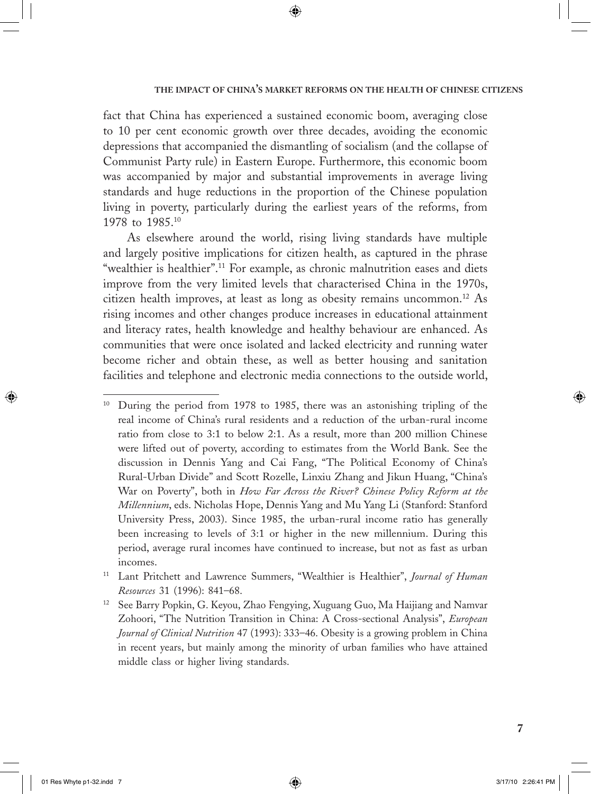fact that China has experienced a sustained economic boom, averaging close to 10 per cent economic growth over three decades, avoiding the economic depressions that accompanied the dismantling of socialism (and the collapse of Communist Party rule) in Eastern Europe. Furthermore, this economic boom was accompanied by major and substantial improvements in average living standards and huge reductions in the proportion of the Chinese population living in poverty, particularly during the earliest years of the reforms, from 1978 to 1985.10

◈

As elsewhere around the world, rising living standards have multiple and largely positive implications for citizen health, as captured in the phrase "wealthier is healthier".<sup>11</sup> For example, as chronic malnutrition eases and diets improve from the very limited levels that characterised China in the 1970s, citizen health improves, at least as long as obesity remains uncommon.12 As rising incomes and other changes produce increases in educational attainment and literacy rates, health knowledge and healthy behaviour are enhanced. As communities that were once isolated and lacked electricity and running water become richer and obtain these, as well as better housing and sanitation facilities and telephone and electronic media connections to the outside world,

 $\bigcirc$ 

<sup>&</sup>lt;sup>10</sup> During the period from 1978 to 1985, there was an astonishing tripling of the real income of China's rural residents and a reduction of the urban-rural income ratio from close to 3:1 to below 2:1. As a result, more than 200 million Chinese were lifted out of poverty, according to estimates from the World Bank. See the discussion in Dennis Yang and Cai Fang, "The Political Economy of China's Rural-Urban Divide" and Scott Rozelle, Linxiu Zhang and Jikun Huang, "China's War on Poverty", both in *How Far Across the River? Chinese Policy Reform at the Millennium*, eds. Nicholas Hope, Dennis Yang and Mu Yang Li (Stanford: Stanford University Press, 2003). Since 1985, the urban-rural income ratio has generally been increasing to levels of 3:1 or higher in the new millennium. During this period, average rural incomes have continued to increase, but not as fast as urban incomes.

<sup>11</sup> Lant Pritchett and Lawrence Summers, "Wealthier is Healthier", *Journal of Human Resources* 31 (1996): 841–68.

<sup>12</sup> See Barry Popkin, G. Keyou, Zhao Fengying, Xuguang Guo, Ma Haijiang and Namvar Zohoori, "The Nutrition Transition in China: A Cross-sectional Analysis", *European Journal of Clinical Nutrition* 47 (1993): 333–46. Obesity is a growing problem in China in recent years, but mainly among the minority of urban families who have attained middle class or higher living standards.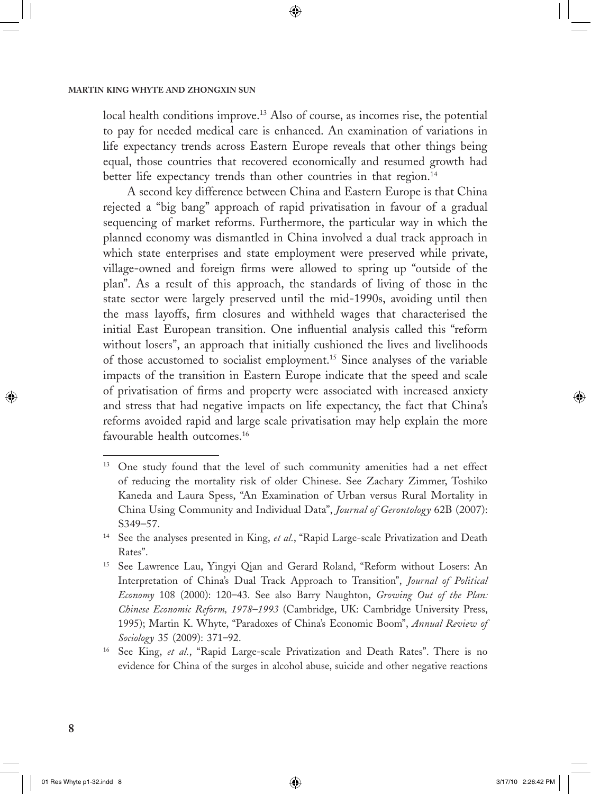local health conditions improve.13 Also of course, as incomes rise, the potential to pay for needed medical care is enhanced. An examination of variations in life expectancy trends across Eastern Europe reveals that other things being equal, those countries that recovered economically and resumed growth had better life expectancy trends than other countries in that region.<sup>14</sup>

◈

A second key difference between China and Eastern Europe is that China rejected a "big bang" approach of rapid privatisation in favour of a gradual sequencing of market reforms. Furthermore, the particular way in which the planned economy was dismantled in China involved a dual track approach in which state enterprises and state employment were preserved while private, village-owned and foreign firms were allowed to spring up "outside of the plan". As a result of this approach, the standards of living of those in the state sector were largely preserved until the mid-1990s, avoiding until then the mass layoffs, firm closures and withheld wages that characterised the initial East European transition. One influential analysis called this "reform without losers", an approach that initially cushioned the lives and livelihoods of those accustomed to socialist employment.15 Since analyses of the variable impacts of the transition in Eastern Europe indicate that the speed and scale of privatisation of firms and property were associated with increased anxiety and stress that had negative impacts on life expectancy, the fact that China's reforms avoided rapid and large scale privatisation may help explain the more favourable health outcomes.<sup>16</sup>

 $\bigcirc$ 

<sup>&</sup>lt;sup>13</sup> One study found that the level of such community amenities had a net effect of reducing the mortality risk of older Chinese. See Zachary Zimmer, Toshiko Kaneda and Laura Spess, "An Examination of Urban versus Rural Mortality in China Using Community and Individual Data", *Journal of Gerontology* 62B (2007): S349–57.

<sup>&</sup>lt;sup>14</sup> See the analyses presented in King, *et al.*, "Rapid Large-scale Privatization and Death Rates".

<sup>15</sup> See Lawrence Lau, Yingyi Qian and Gerard Roland, "Reform without Losers: An Interpretation of China's Dual Track Approach to Transition", *Journal of Political Economy* 108 (2000): 120–43. See also Barry Naughton, *Growing Out of the Plan: Chinese Economic Reform, 1978–1993* (Cambridge, UK: Cambridge University Press, 1995); Martin K. Whyte, "Paradoxes of China's Economic Boom", *Annual Review of Sociology* 35 (2009): 371–92.

<sup>16</sup> See King, *et al.*, "Rapid Large-scale Privatization and Death Rates". There is no evidence for China of the surges in alcohol abuse, suicide and other negative reactions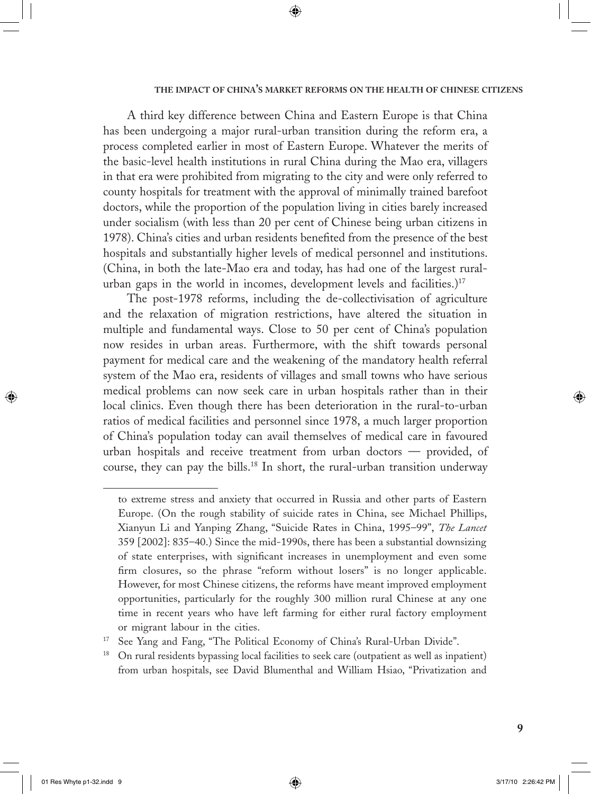A third key difference between China and Eastern Europe is that China has been undergoing a major rural-urban transition during the reform era, a process completed earlier in most of Eastern Europe. Whatever the merits of the basic-level health institutions in rural China during the Mao era, villagers in that era were prohibited from migrating to the city and were only referred to county hospitals for treatment with the approval of minimally trained barefoot doctors, while the proportion of the population living in cities barely increased under socialism (with less than 20 per cent of Chinese being urban citizens in 1978). China's cities and urban residents benefited from the presence of the best hospitals and substantially higher levels of medical personnel and institutions. (China, in both the late-Mao era and today, has had one of the largest ruralurban gaps in the world in incomes, development levels and facilities.)<sup>17</sup>

⊕

The post-1978 reforms, including the de-collectivisation of agriculture and the relaxation of migration restrictions, have altered the situation in multiple and fundamental ways. Close to 50 per cent of China's population now resides in urban areas. Furthermore, with the shift towards personal payment for medical care and the weakening of the mandatory health referral system of the Mao era, residents of villages and small towns who have serious medical problems can now seek care in urban hospitals rather than in their local clinics. Even though there has been deterioration in the rural-to-urban ratios of medical facilities and personnel since 1978, a much larger proportion of China's population today can avail themselves of medical care in favoured urban hospitals and receive treatment from urban doctors — provided, of course, they can pay the bills.18 In short, the rural-urban transition underway

 $\Leftrightarrow$ 

 $\bigoplus$ 

to extreme stress and anxiety that occurred in Russia and other parts of Eastern Europe. (On the rough stability of suicide rates in China, see Michael Phillips, Xianyun Li and Yanping Zhang, "Suicide Rates in China, 1995–99", *The Lancet*  359 [2002]: 835–40.) Since the mid-1990s, there has been a substantial downsizing of state enterprises, with significant increases in unemployment and even some firm closures, so the phrase "reform without losers" is no longer applicable. However, for most Chinese citizens, the reforms have meant improved employment opportunities, particularly for the roughly 300 million rural Chinese at any one time in recent years who have left farming for either rural factory employment or migrant labour in the cities.

See Yang and Fang, "The Political Economy of China's Rural-Urban Divide".

<sup>&</sup>lt;sup>18</sup> On rural residents bypassing local facilities to seek care (outpatient as well as inpatient) from urban hospitals, see David Blumenthal and William Hsiao, "Privatization and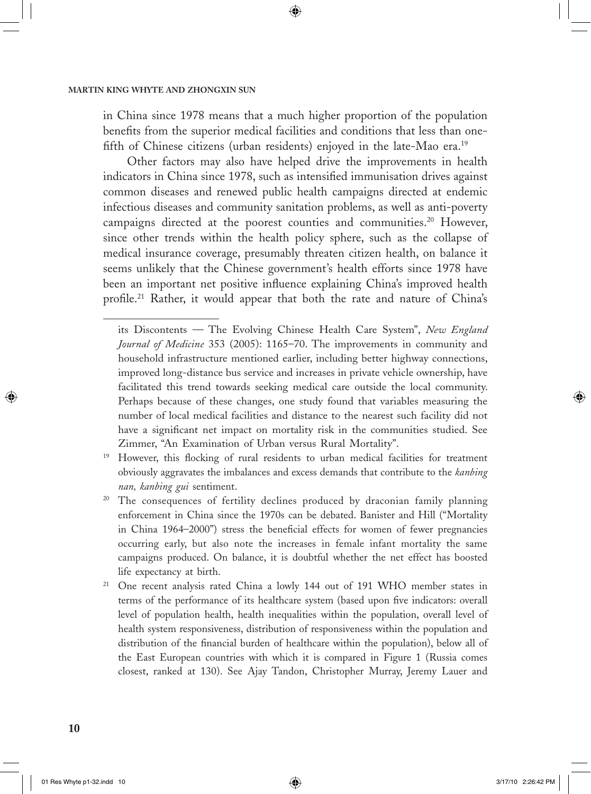in China since 1978 means that a much higher proportion of the population benefits from the superior medical facilities and conditions that less than onefifth of Chinese citizens (urban residents) enjoyed in the late-Mao era.<sup>19</sup>

◈

Other factors may also have helped drive the improvements in health indicators in China since 1978, such as intensified immunisation drives against common diseases and renewed public health campaigns directed at endemic infectious diseases and community sanitation problems, as well as anti-poverty campaigns directed at the poorest counties and communities.<sup>20</sup> However, since other trends within the health policy sphere, such as the collapse of medical insurance coverage, presumably threaten citizen health, on balance it seems unlikely that the Chinese government's health efforts since 1978 have been an important net positive influence explaining China's improved health profile.<sup>21</sup> Rather, it would appear that both the rate and nature of China's

- <sup>19</sup> However, this flocking of rural residents to urban medical facilities for treatment obviously aggravates the imbalances and excess demands that contribute to the *kanbing nan, kanbing gui* sentiment.
- <sup>20</sup> The consequences of fertility declines produced by draconian family planning enforcement in China since the 1970s can be debated. Banister and Hill ("Mortality in China 1964–2000") stress the beneficial effects for women of fewer pregnancies occurring early, but also note the increases in female infant mortality the same campaigns produced. On balance, it is doubtful whether the net effect has boosted life expectancy at birth.
- <sup>21</sup> One recent analysis rated China a lowly 144 out of 191 WHO member states in terms of the performance of its healthcare system (based upon five indicators: overall level of population health, health inequalities within the population, overall level of health system responsiveness, distribution of responsiveness within the population and distribution of the financial burden of healthcare within the population), below all of the East European countries with which it is compared in Figure 1 (Russia comes closest, ranked at 130). See Ajay Tandon, Christopher Murray, Jeremy Lauer and

 $\bigcirc$ 

its Discontents — The Evolving Chinese Health Care System", *New England Journal of Medicine* 353 (2005): 1165–70. The improvements in community and household infrastructure mentioned earlier, including better highway connections, improved long-distance bus service and increases in private vehicle ownership, have facilitated this trend towards seeking medical care outside the local community. Perhaps because of these changes, one study found that variables measuring the number of local medical facilities and distance to the nearest such facility did not have a significant net impact on mortality risk in the communities studied. See Zimmer, "An Examination of Urban versus Rural Mortality".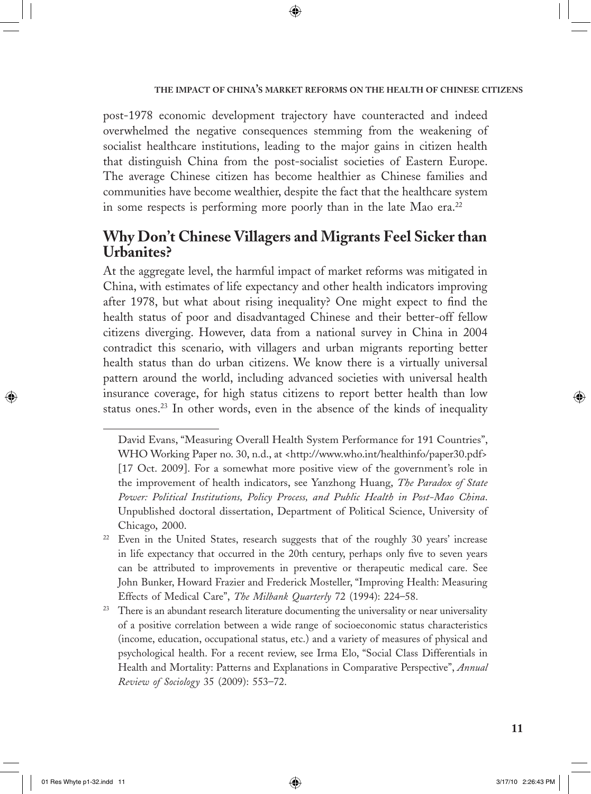post-1978 economic development trajectory have counteracted and indeed overwhelmed the negative consequences stemming from the weakening of socialist healthcare institutions, leading to the major gains in citizen health that distinguish China from the post-socialist societies of Eastern Europe. The average Chinese citizen has become healthier as Chinese families and communities have become wealthier, despite the fact that the healthcare system in some respects is performing more poorly than in the late Mao era.<sup>22</sup>

◈

# **Why Don't Chinese Villagers and Migrants Feel Sicker than Urbanites?**

At the aggregate level, the harmful impact of market reforms was mitigated in China, with estimates of life expectancy and other health indicators improving after 1978, but what about rising inequality? One might expect to find the health status of poor and disadvantaged Chinese and their better-off fellow citizens diverging. However, data from a national survey in China in 2004 contradict this scenario, with villagers and urban migrants reporting better health status than do urban citizens. We know there is a virtually universal pattern around the world, including advanced societies with universal health insurance coverage, for high status citizens to report better health than low status ones.<sup>23</sup> In other words, even in the absence of the kinds of inequality

⊕

 $\bigcirc$ 

David Evans, "Measuring Overall Health System Performance for 191 Countries", WHO Working Paper no. 30, n.d., at <http://www.who.int/healthinfo/paper30.pdf> [17 Oct. 2009]. For a somewhat more positive view of the government's role in the improvement of health indicators, see Yanzhong Huang, *The Paradox of State Power: Political Institutions, Policy Process, and Public Health in Post-Mao China*. Unpublished doctoral dissertation, Department of Political Science, University of Chicago, 2000.

<sup>&</sup>lt;sup>22</sup> Even in the United States, research suggests that of the roughly 30 years' increase in life expectancy that occurred in the 20th century, perhaps only five to seven years can be attributed to improvements in preventive or therapeutic medical care. See John Bunker, Howard Frazier and Frederick Mosteller, "Improving Health: Measuring Effects of Medical Care", *The Milbank Quarterly* 72 (1994): 224–58.

 $23$  There is an abundant research literature documenting the universality or near universality of a positive correlation between a wide range of socioeconomic status characteristics (income, education, occupational status, etc.) and a variety of measures of physical and psychological health. For a recent review, see Irma Elo, "Social Class Differentials in Health and Mortality: Patterns and Explanations in Comparative Perspective", *Annual Review of Sociology* 35 (2009): 553–72.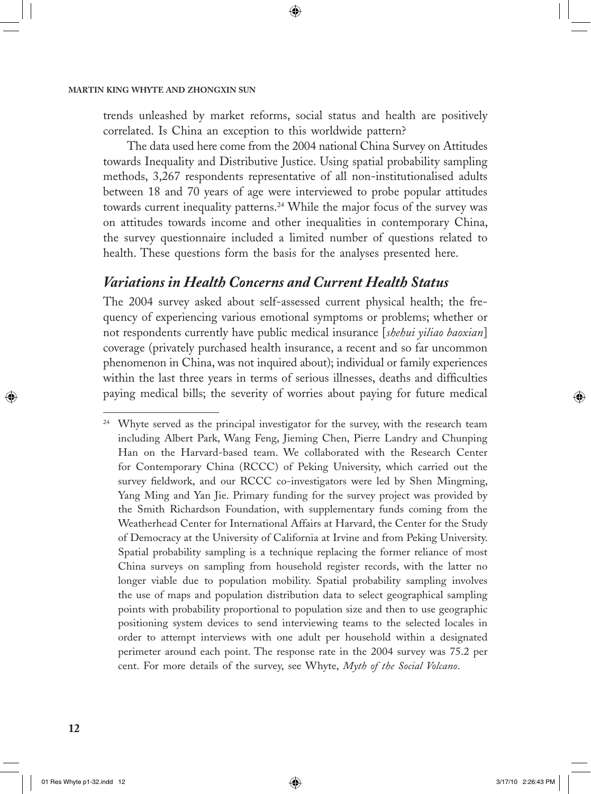trends unleashed by market reforms, social status and health are positively correlated. Is China an exception to this worldwide pattern?

⊕

The data used here come from the 2004 national China Survey on Attitudes towards Inequality and Distributive Justice. Using spatial probability sampling methods, 3,267 respondents representative of all non-institutionalised adults between 18 and 70 years of age were interviewed to probe popular attitudes towards current inequality patterns.<sup>24</sup> While the major focus of the survey was on attitudes towards income and other inequalities in contemporary China, the survey questionnaire included a limited number of questions related to health. These questions form the basis for the analyses presented here.

# *Variations in Health Concerns and Current Health Status*

The 2004 survey asked about self-assessed current physical health; the frequency of experiencing various emotional symptoms or problems; whether or not respondents currently have public medical insurance [*shehui yiliao baoxian*] coverage (privately purchased health insurance, a recent and so far uncommon phenomenon in China, was not inquired about); individual or family experiences within the last three years in terms of serious illnesses, deaths and difficulties paying medical bills; the severity of worries about paying for future medical

 $\bigcirc$ 

<sup>&</sup>lt;sup>24</sup> Whyte served as the principal investigator for the survey, with the research team including Albert Park, Wang Feng, Jieming Chen, Pierre Landry and Chunping Han on the Harvard-based team. We collaborated with the Research Center for Contemporary China (RCCC) of Peking University, which carried out the survey fieldwork, and our RCCC co-investigators were led by Shen Mingming, Yang Ming and Yan Jie. Primary funding for the survey project was provided by the Smith Richardson Foundation, with supplementary funds coming from the Weatherhead Center for International Affairs at Harvard, the Center for the Study of Democracy at the University of California at Irvine and from Peking University. Spatial probability sampling is a technique replacing the former reliance of most China surveys on sampling from household register records, with the latter no longer viable due to population mobility. Spatial probability sampling involves the use of maps and population distribution data to select geographical sampling points with probability proportional to population size and then to use geographic positioning system devices to send interviewing teams to the selected locales in order to attempt interviews with one adult per household within a designated perimeter around each point. The response rate in the 2004 survey was 75.2 per cent. For more details of the survey, see Whyte, *Myth of the Social Volcano*.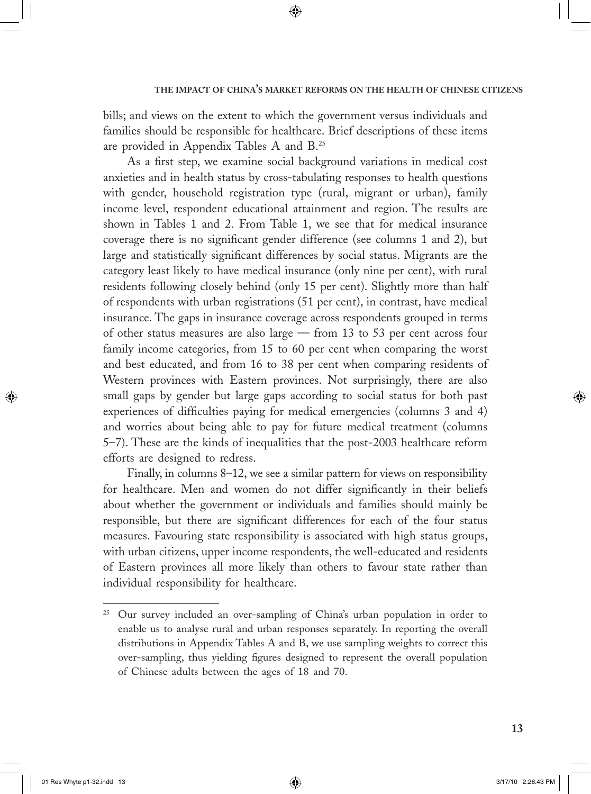bills; and views on the extent to which the government versus individuals and families should be responsible for healthcare. Brief descriptions of these items are provided in Appendix Tables A and B.25

◈

As a first step, we examine social background variations in medical cost anxieties and in health status by cross-tabulating responses to health questions with gender, household registration type (rural, migrant or urban), family income level, respondent educational attainment and region. The results are shown in Tables 1 and 2. From Table 1, we see that for medical insurance coverage there is no significant gender difference (see columns 1 and 2), but large and statistically significant differences by social status. Migrants are the category least likely to have medical insurance (only nine per cent), with rural residents following closely behind (only 15 per cent). Slightly more than half of respondents with urban registrations (51 per cent), in contrast, have medical insurance. The gaps in insurance coverage across respondents grouped in terms of other status measures are also large — from 13 to 53 per cent across four family income categories, from 15 to 60 per cent when comparing the worst and best educated, and from 16 to 38 per cent when comparing residents of Western provinces with Eastern provinces. Not surprisingly, there are also small gaps by gender but large gaps according to social status for both past experiences of difficulties paying for medical emergencies (columns 3 and 4) and worries about being able to pay for future medical treatment (columns 5–7). These are the kinds of inequalities that the post-2003 healthcare reform efforts are designed to redress.

Finally, in columns 8–12, we see a similar pattern for views on responsibility for healthcare. Men and women do not differ significantly in their beliefs about whether the government or individuals and families should mainly be responsible, but there are significant differences for each of the four status measures. Favouring state responsibility is associated with high status groups, with urban citizens, upper income respondents, the well-educated and residents of Eastern provinces all more likely than others to favour state rather than individual responsibility for healthcare.

↔

 $\Leftrightarrow$ 

<sup>&</sup>lt;sup>25</sup> Our survey included an over-sampling of China's urban population in order to enable us to analyse rural and urban responses separately. In reporting the overall distributions in Appendix Tables A and B, we use sampling weights to correct this over-sampling, thus yielding figures designed to represent the overall population of Chinese adults between the ages of 18 and 70.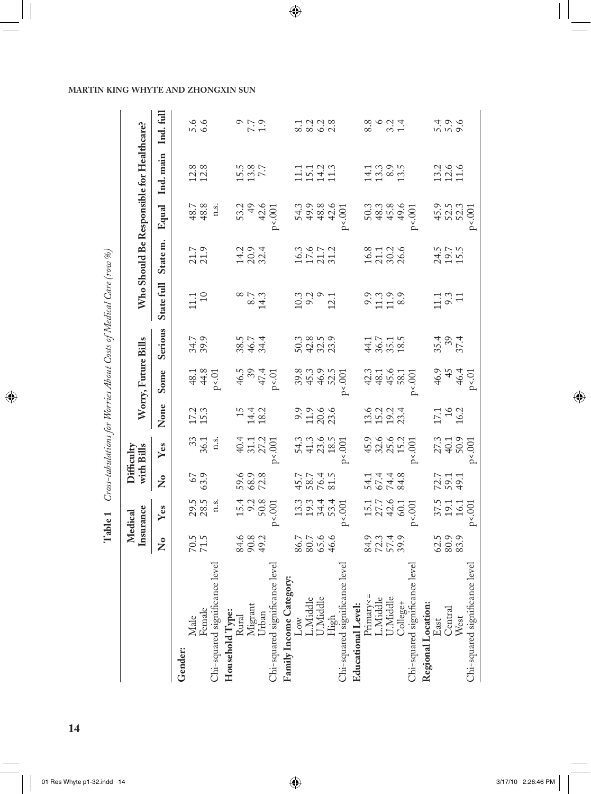|                                                                                                                                |                         | Medical                                  |                              | Difficulty                       |                               |                                                                                                                                                                                                                                |                                      |                                          |                            |                                  |                                           |                                               |
|--------------------------------------------------------------------------------------------------------------------------------|-------------------------|------------------------------------------|------------------------------|----------------------------------|-------------------------------|--------------------------------------------------------------------------------------------------------------------------------------------------------------------------------------------------------------------------------|--------------------------------------|------------------------------------------|----------------------------|----------------------------------|-------------------------------------------|-----------------------------------------------|
|                                                                                                                                |                         | Insurance                                |                              | with Bills                       |                               | Worry, Future Bills                                                                                                                                                                                                            |                                      |                                          |                            |                                  | Who Should Be Responsible for Healthcare? |                                               |
|                                                                                                                                | $\overline{\mathsf{z}}$ | Yes                                      | $\overline{\mathsf{z}}$      | Yes                              | None                          | Some                                                                                                                                                                                                                           | Serious                              | State full                               | State m.                   | Equal                            | Ind. main                                 | Ind.full                                      |
| Gender:                                                                                                                        |                         |                                          |                              |                                  |                               |                                                                                                                                                                                                                                |                                      |                                          |                            |                                  |                                           |                                               |
|                                                                                                                                |                         |                                          |                              |                                  |                               |                                                                                                                                                                                                                                |                                      |                                          |                            |                                  |                                           |                                               |
|                                                                                                                                | $70.5$<br>71.5          | 29.5<br>28.5                             | 63.9                         | 36.1                             | 17.3                          |                                                                                                                                                                                                                                | 34.7<br>39.9                         | $\begin{array}{c} 1.1 \\ 10 \end{array}$ | 21.7<br>21.9               | 48.7<br>48.8                     | $12.8$<br>$12.8$                          | 5.6<br>6.6                                    |
| evel<br>Male<br>Female<br>Chi-squared significance lev                                                                         |                         | n.s.                                     |                              | n.s.                             |                               | $\begin{array}{c} 48.1 \\ 44.8 \\ \text{P} & 01 \end{array}$                                                                                                                                                                   |                                      |                                          |                            | n.s.                             |                                           |                                               |
|                                                                                                                                |                         |                                          |                              |                                  |                               |                                                                                                                                                                                                                                |                                      |                                          |                            |                                  |                                           |                                               |
|                                                                                                                                |                         |                                          |                              |                                  |                               |                                                                                                                                                                                                                                |                                      |                                          |                            |                                  |                                           |                                               |
|                                                                                                                                | 4.8<br>8.8<br>8.9       | $15.4$<br>$9.3$<br>$50.8$                | 59.9<br>68.9<br>72.8         | 4 5 1 2<br>4 5 1 2<br>4 7 1 2    | $14.2$<br>$14.3$              |                                                                                                                                                                                                                                | 38.5<br>46.7<br>34.4                 | $8.7$<br>$8.7$<br>$14.3$                 | 14.9<br>20.4<br>20.4       |                                  | $15.8$<br>$7.7$                           | $0,7,9$<br>0.7                                |
|                                                                                                                                |                         |                                          |                              |                                  |                               |                                                                                                                                                                                                                                |                                      |                                          |                            |                                  |                                           |                                               |
| Household Type:<br>Rural<br>Migrant<br>Urban<br>Chi-squared significance level                                                 |                         | p<0.001                                  |                              | p<0.001                          |                               | $46.5$<br>$47.4$<br>$47.4$<br>P <.01                                                                                                                                                                                           |                                      |                                          |                            | $53.2$<br>49<br>42.6<br>$P<.001$ |                                           |                                               |
|                                                                                                                                |                         |                                          |                              |                                  |                               |                                                                                                                                                                                                                                |                                      |                                          |                            |                                  |                                           |                                               |
|                                                                                                                                |                         |                                          |                              |                                  |                               |                                                                                                                                                                                                                                |                                      |                                          |                            |                                  |                                           |                                               |
|                                                                                                                                | 86.7<br>80.7<br>46.6    | 3<br>2014<br>2025                        | 45.7<br>48.7<br>48.4<br>50.1 | 2223<br>2222<br>2222             | 9.9<br>11.9<br>23.6           |                                                                                                                                                                                                                                | 0.3<br>0.21<br>0.4<br>0.21<br>0.21   | $10.3$<br>$9.2$<br>$9.2$<br>$12.1$       | $16.3$<br>$17.7$<br>$21.2$ | 5<br>4 9 8 9 9<br>5 9 9 9 9      | 11123<br>11113<br>1111                    | 2222<br>2323                                  |
|                                                                                                                                |                         |                                          |                              |                                  |                               |                                                                                                                                                                                                                                |                                      |                                          |                            |                                  |                                           |                                               |
|                                                                                                                                |                         |                                          |                              |                                  |                               |                                                                                                                                                                                                                                |                                      |                                          |                            |                                  |                                           |                                               |
| level<br>Family Income Category:<br>Low<br>L.Niddle<br>U.Middle<br>High<br>Chi-squared significance lev                        |                         | $p<0.001$                                |                              | p<0.001                          |                               | p< .001                                                                                                                                                                                                                        |                                      |                                          |                            | p<0.001                          |                                           |                                               |
|                                                                                                                                |                         |                                          |                              |                                  |                               |                                                                                                                                                                                                                                |                                      |                                          |                            |                                  |                                           |                                               |
|                                                                                                                                |                         |                                          |                              |                                  |                               |                                                                                                                                                                                                                                |                                      |                                          |                            |                                  |                                           | 8.8                                           |
|                                                                                                                                |                         |                                          |                              |                                  |                               |                                                                                                                                                                                                                                |                                      |                                          |                            |                                  |                                           |                                               |
|                                                                                                                                | 82249.<br>82539.        | $15.7$<br>$27.7$<br>$40.1$<br>$60.1$     | 1<br>4 1 4 4 8<br>5 4 4 8    |                                  |                               | $3, 4, 4, 6, 7, 8, 7, 8, 7, 8, 7, 8, 7, 8, 7, 8, 7, 8, 7, 8, 7, 8, 7, 8, 7, 8, 7, 8, 7, 8, 7, 8, 7, 8, 7, 8, 7, 8, 7, 8, 7, 8, 7, 8, 7, 8, 7, 8, 7, 8, 7, 8, 7, 8, 7, 8, 7, 8, 7, 8, 7, 8, 7, 8, 7, 8, 7, 8, 7, 8, 7, 8, 7, 8$ | $44.7$<br>$36.7$<br>$38.5$<br>$18.5$ |                                          | 16.8<br>21.1<br>26.6       |                                  | $1.3800$<br>$1.3800$                      | $\begin{array}{c} 6 & 4 \\ 6 & 4 \end{array}$ |
|                                                                                                                                |                         |                                          |                              |                                  | $13.04$<br>$19.04$<br>$23.04$ |                                                                                                                                                                                                                                |                                      |                                          |                            |                                  |                                           |                                               |
| level<br>Educational Level:<br>Primary<=<br>L.Middle<br>L.Middle<br>Uhi-squared significance le<br>Chi-squared significance le |                         | p<0.001                                  |                              | $p<0.001$                        |                               | p< 0.001                                                                                                                                                                                                                       |                                      |                                          |                            | p<0.001                          |                                           |                                               |
|                                                                                                                                |                         |                                          |                              |                                  |                               |                                                                                                                                                                                                                                |                                      |                                          |                            |                                  |                                           |                                               |
| Regional Location:<br>East<br>Central<br>VVest                                                                                 |                         |                                          |                              |                                  | $\frac{17.1}{16}$             |                                                                                                                                                                                                                                | $35.4$<br>$37.4$                     | $11.1$<br>$9.3$<br>$11$                  |                            |                                  | 13.4<br>12.6                              |                                               |
|                                                                                                                                | $38.9$<br>$38.9$        |                                          | 72.7<br>79.1<br>79.1         |                                  |                               |                                                                                                                                                                                                                                |                                      |                                          | 24.5<br>19.7<br>15.5       |                                  |                                           | 15.00<br>15.00                                |
|                                                                                                                                |                         |                                          |                              |                                  |                               |                                                                                                                                                                                                                                |                                      |                                          |                            |                                  |                                           |                                               |
| evel<br>$\Box$ hi-squared significance $1$                                                                                     |                         | $37.5$<br>19.1<br>16.1<br>16.1<br>p<.001 |                              | $27.3$<br>40.1<br>50.9<br>p<.001 |                               | $46.9$<br>$45$<br>$46.4$<br>$46.4$<br>$P \times 01$                                                                                                                                                                            |                                      |                                          |                            | 45.9<br>52.5<br>52.3<br>p<.001   |                                           |                                               |

 $\bigoplus$ 

Table 1 Cross-tabulations for Worries About Costs of Medical Care (row %)

 $\bigoplus$ 

**14**

 $\bigoplus$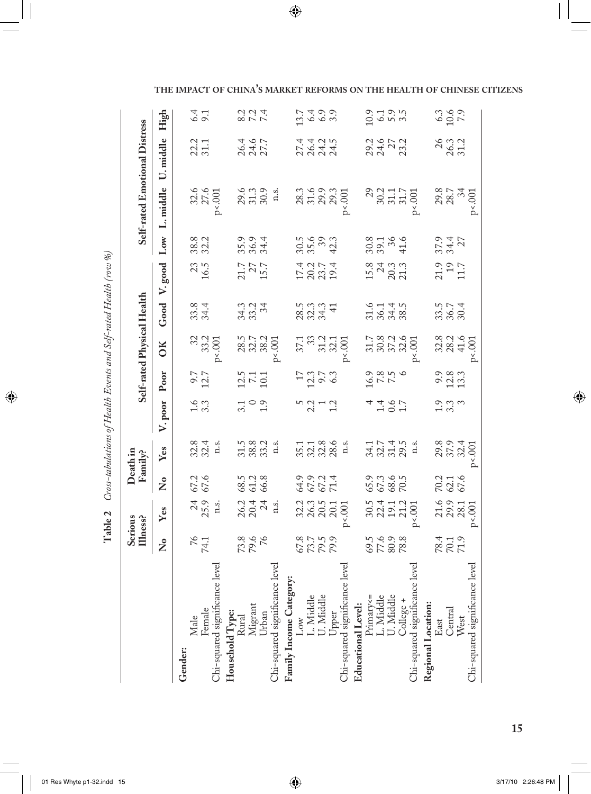| )<br>}                                                                           |   |
|----------------------------------------------------------------------------------|---|
|                                                                                  |   |
| $\sim$ / + $\ln$ / $\sim$ $\sim$ $\sim$                                          |   |
| i                                                                                |   |
|                                                                                  | ١ |
| $\frac{1}{2}$                                                                    |   |
|                                                                                  |   |
| ן<br>י                                                                           |   |
| c at Hoalth Faionte and Solt-rate<br>I a anno II Donna e<br>$\ddot{\phantom{0}}$ |   |
|                                                                                  |   |
| $5 - 11$ $0 + 4$ $0 + 0$<br>$-2sS-Labla u$                                       |   |
|                                                                                  |   |
| י<br>ג<br>Ç                                                                      |   |
| שטונטו<br>II<br>E                                                                |   |

 $\bigoplus$ 

 $\mathcal{U}$ 

|                                                                                    |                            | Serious<br>Illness?    |                       | Death in<br>Family?            |                   |                                                   |                                                                     | Self-rated Physical Health |                                   |                            |                                                               | Self-rated Emotional Distress    |                         |
|------------------------------------------------------------------------------------|----------------------------|------------------------|-----------------------|--------------------------------|-------------------|---------------------------------------------------|---------------------------------------------------------------------|----------------------------|-----------------------------------|----------------------------|---------------------------------------------------------------|----------------------------------|-------------------------|
|                                                                                    | $\mathsf{\Sigma}^\bullet$  | Yes                    | Σ°                    | Yes                            | V. poor           | Poor                                              | OK                                                                  | Good                       | $_{\rm good}$<br>$\triangleright$ | $_{Low}$                   | L. middle                                                     | middle<br>じ                      | High                    |
| Gender:                                                                            |                            |                        |                       |                                |                   |                                                   |                                                                     |                            |                                   |                            |                                                               |                                  |                         |
| Male                                                                               |                            |                        |                       |                                |                   |                                                   |                                                                     |                            |                                   |                            |                                                               |                                  |                         |
| Female<br>Chi-squared significance leve:                                           | 74.1                       | $\frac{24}{25.9}$ n.s. | 67.2                  | $32.4$<br>$32.4$<br>n.s.       | $\frac{1}{3}$ .3  | $9.7$<br>$12.7$                                   | 32<br>33.2<br>p<.001                                                | 33.4                       | $\frac{23}{16.5}$                 | 38.8<br>32.2               |                                                               | 22.2<br>31.1                     | 6.1                     |
|                                                                                    |                            |                        |                       |                                |                   |                                                   |                                                                     |                            |                                   |                            | $32.6$<br>$27.6$<br>$\times 001$                              |                                  |                         |
| Household Type:<br>Rural<br>Migrant<br>Urban<br>Chi-squared significance level     |                            |                        |                       |                                |                   |                                                   |                                                                     |                            |                                   |                            |                                                               |                                  |                         |
|                                                                                    |                            |                        |                       | 31.5<br>38.3<br>1.3.           |                   |                                                   | $28.5$<br>$32.7$<br>$38.2$<br>$38.2$                                |                            |                                   | 35.9<br>36.9<br>34.4       |                                                               |                                  |                         |
|                                                                                    | 73.8<br>79.6               | 26.2<br>20.4<br>n.s.   | 68.5<br>61.2<br>66.8  |                                | $\frac{1}{2}$ 0.9 | $\frac{25}{71}$                                   |                                                                     | 323<br>333                 | 21.7<br>15.7<br>15.7              |                            | 29.6<br>21.3<br>30.3<br>11.                                   | 26.4<br>24.6<br>27.7             |                         |
|                                                                                    |                            |                        |                       |                                |                   |                                                   |                                                                     |                            |                                   |                            |                                                               |                                  |                         |
|                                                                                    |                            |                        |                       |                                |                   |                                                   |                                                                     |                            |                                   |                            |                                                               |                                  |                         |
| Family Income Category:                                                            |                            |                        |                       |                                |                   |                                                   |                                                                     |                            |                                   |                            |                                                               |                                  |                         |
|                                                                                    |                            |                        |                       |                                |                   |                                                   |                                                                     |                            |                                   |                            |                                                               |                                  |                         |
| Low<br>L. Middle<br>U. Middle<br>Upper                                             | 67.9<br>527<br>679.9       | 223<br>2205<br>2207    | 64.9<br>67.2<br>67.14 | 35.1886<br>3238.6<br>1.88      |                   | $\frac{17}{2}$<br>$\frac{23}{6}$<br>$\frac{5}{3}$ | $37.3$<br>$37.3$<br>$37.3$<br>$30.5$<br>$\ddotsc$                   | 2333<br>2334               | 172314<br>17231<br>1925           | $35.6$<br>$35.3$<br>$42.3$ |                                                               | न न न न<br>2 सं न न<br>2 सं य सं | 1349.9<br>1349.9        |
|                                                                                    |                            |                        |                       |                                |                   |                                                   |                                                                     |                            |                                   |                            |                                                               |                                  |                         |
|                                                                                    |                            |                        |                       |                                |                   |                                                   |                                                                     |                            |                                   |                            |                                                               |                                  |                         |
| Chi-squared significance level                                                     |                            | $\ddot{\text{00}}$     |                       |                                |                   |                                                   |                                                                     |                            |                                   |                            | 28.3<br>31.6<br>29.3<br>29.3<br>201                           |                                  |                         |
| Educational Level:<br>Primary<=<br>Einary<=<br>L. Middle<br>U. Middle<br>College + |                            |                        |                       |                                |                   |                                                   |                                                                     |                            |                                   |                            |                                                               |                                  |                         |
|                                                                                    |                            |                        |                       |                                |                   |                                                   |                                                                     |                            |                                   |                            |                                                               |                                  |                         |
|                                                                                    | $69.5$<br>$76.9$<br>$78.8$ | 50.412.2019            | 55.3<br>57.3<br>70.5  | 347745<br>33535<br>3358        | 1.07              | $\frac{16.9}{7.8}$                                | $\begin{array}{c} 31.7 \\ 30.8 \\ 37.2 \\ 60 \\ \hline \end{array}$ | 5145<br>55458              | $15.8$<br>$24.3$<br>$21.3$        | 30.8<br>39.1<br>41.6       |                                                               | 29.45<br>24.57<br>23.2           | 0.1 0.1<br>1 0.1 0.1    |
|                                                                                    |                            |                        |                       |                                |                   |                                                   |                                                                     |                            |                                   |                            |                                                               |                                  |                         |
|                                                                                    |                            |                        |                       |                                |                   |                                                   |                                                                     |                            |                                   |                            |                                                               |                                  |                         |
| Chi-squared significance leve.                                                     |                            |                        |                       |                                |                   |                                                   |                                                                     |                            |                                   |                            | $\frac{29}{30.2}$<br>$\frac{30.2}{31.7}$<br>$\frac{17}{31.7}$ |                                  |                         |
| Regional Location:                                                                 |                            |                        |                       |                                |                   |                                                   |                                                                     |                            |                                   |                            |                                                               |                                  |                         |
| East                                                                               | 78.4<br>70.1<br>71.9       |                        |                       | 29.8<br>37.9<br>32.4<br>p<.001 |                   |                                                   |                                                                     | 33.5<br>36.7<br>30.4       | 21.9<br>11.7                      | $37.9$<br>$34.4$<br>$27$   | $29.8$<br>$28.7$<br>$34$<br>$34$<br>$p<0.01$                  | 26.3<br>26.3<br>31.2             |                         |
| Central                                                                            |                            |                        |                       |                                | ್ಲಿ ಬಿ ಬ<br>ರಂ    |                                                   |                                                                     |                            |                                   |                            |                                                               |                                  | $0.3$<br>$0.9$<br>$7.9$ |
| West                                                                               |                            | 21.6<br>29.9<br>28.1   | 70.2<br>62.1<br>67.6  |                                |                   | 9.3<br>2.3<br>13.3                                | $32.3$<br>$38.3$<br>$41.6$                                          |                            |                                   |                            |                                                               |                                  |                         |
| Chi-squared significance level                                                     |                            | p<0.001                |                       |                                |                   |                                                   | $\epsilon$ .001                                                     |                            |                                   |                            |                                                               |                                  |                         |
|                                                                                    |                            |                        |                       |                                |                   |                                                   |                                                                     |                            |                                   |                            |                                                               |                                  |                         |

**THE IMPACT OF CHINA'S MARKET REFORMS ON THE HEALTH OF CHINESE CITIZENS**

 $\bigoplus$ 

 $\bigoplus$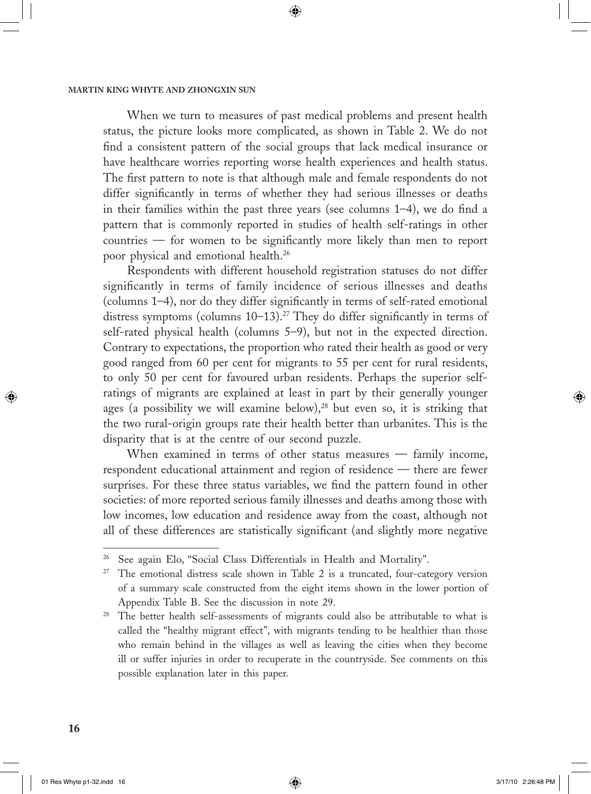When we turn to measures of past medical problems and present health status, the picture looks more complicated, as shown in Table 2. We do not find a consistent pattern of the social groups that lack medical insurance or have healthcare worries reporting worse health experiences and health status. The first pattern to note is that although male and female respondents do not differ significantly in terms of whether they had serious illnesses or deaths in their families within the past three years (see columns 1–4), we do find a pattern that is commonly reported in studies of health self-ratings in other countries — for women to be significantly more likely than men to report poor physical and emotional health.<sup>26</sup>

◈

Respondents with different household registration statuses do not differ significantly in terms of family incidence of serious illnesses and deaths (columns 1–4), nor do they differ significantly in terms of self-rated emotional distress symptoms (columns 10-13).<sup>27</sup> They do differ significantly in terms of self-rated physical health (columns 5–9), but not in the expected direction. Contrary to expectations, the proportion who rated their health as good or very good ranged from 60 per cent for migrants to 55 per cent for rural residents, to only 50 per cent for favoured urban residents. Perhaps the superior selfratings of migrants are explained at least in part by their generally younger ages (a possibility we will examine below), $28$  but even so, it is striking that the two rural-origin groups rate their health better than urbanites. This is the disparity that is at the centre of our second puzzle.

When examined in terms of other status measures — family income, respondent educational attainment and region of residence — there are fewer surprises. For these three status variables, we find the pattern found in other societies: of more reported serious family illnesses and deaths among those with low incomes, low education and residence away from the coast, although not all of these differences are statistically significant (and slightly more negative

 $\bigcirc$ 

See again Elo, "Social Class Differentials in Health and Mortality".

<sup>&</sup>lt;sup>27</sup> The emotional distress scale shown in Table 2 is a truncated, four-category version of a summary scale constructed from the eight items shown in the lower portion of Appendix Table B. See the discussion in note 29.

<sup>&</sup>lt;sup>28</sup> The better health self-assessments of migrants could also be attributable to what is called the "healthy migrant effect", with migrants tending to be healthier than those who remain behind in the villages as well as leaving the cities when they become ill or suffer injuries in order to recuperate in the countryside. See comments on this possible explanation later in this paper.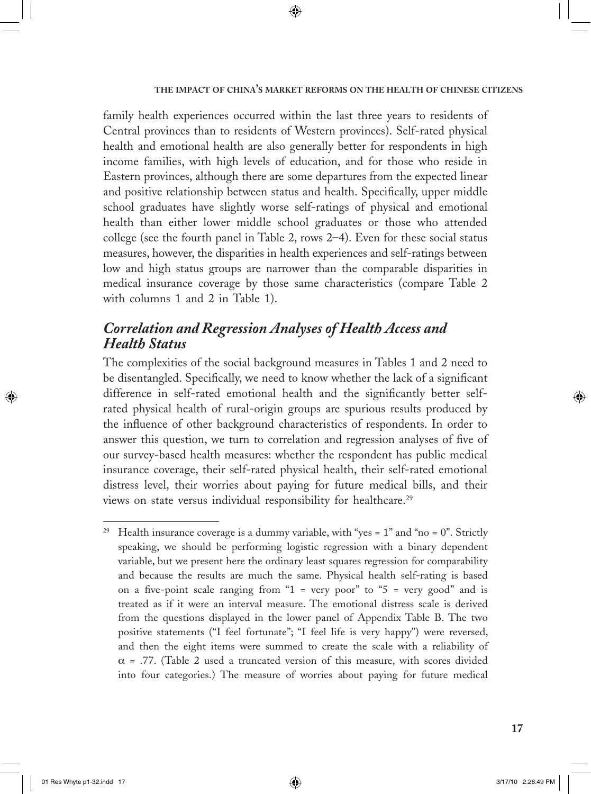family health experiences occurred within the last three years to residents of Central provinces than to residents of Western provinces). Self-rated physical health and emotional health are also generally better for respondents in high income families, with high levels of education, and for those who reside in Eastern provinces, although there are some departures from the expected linear and positive relationship between status and health. Specifically, upper middle school graduates have slightly worse self-ratings of physical and emotional health than either lower middle school graduates or those who attended college (see the fourth panel in Table 2, rows 2–4). Even for these social status measures, however, the disparities in health experiences and self-ratings between low and high status groups are narrower than the comparable disparities in medical insurance coverage by those same characteristics (compare Table 2 with columns 1 and 2 in Table 1).

◈

# *Correlation and Regression Analyses of Health Access and Health Status*

The complexities of the social background measures in Tables 1 and 2 need to be disentangled. Specifically, we need to know whether the lack of a significant difference in self-rated emotional health and the significantly better selfrated physical health of rural-origin groups are spurious results produced by the influence of other background characteristics of respondents. In order to answer this question, we turn to correlation and regression analyses of five of our survey-based health measures: whether the respondent has public medical insurance coverage, their self-rated physical health, their self-rated emotional distress level, their worries about paying for future medical bills, and their views on state versus individual responsibility for healthcare.<sup>29</sup>

⊕

<sup>&</sup>lt;sup>29</sup> Health insurance coverage is a dummy variable, with "yes = 1" and "no = 0". Strictly speaking, we should be performing logistic regression with a binary dependent variable, but we present here the ordinary least squares regression for comparability and because the results are much the same. Physical health self-rating is based on a five-point scale ranging from " $1 = \text{very poor" to "5 = very good" and is}$ treated as if it were an interval measure. The emotional distress scale is derived from the questions displayed in the lower panel of Appendix Table B. The two positive statements ("I feel fortunate"; "I feel life is very happy") were reversed, and then the eight items were summed to create the scale with a reliability of  $\alpha$  = .77. (Table 2 used a truncated version of this measure, with scores divided into four categories.) The measure of worries about paying for future medical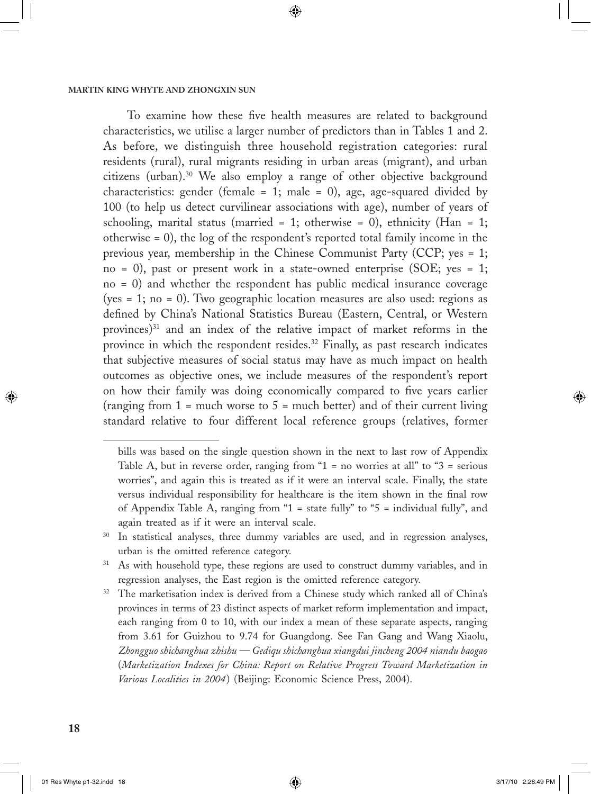To examine how these five health measures are related to background characteristics, we utilise a larger number of predictors than in Tables 1 and 2. As before, we distinguish three household registration categories: rural residents (rural), rural migrants residing in urban areas (migrant), and urban citizens (urban).30 We also employ a range of other objective background characteristics: gender (female = 1; male = 0), age, age-squared divided by 100 (to help us detect curvilinear associations with age), number of years of schooling, marital status (married = 1; otherwise = 0), ethnicity (Han = 1; otherwise = 0), the log of the respondent's reported total family income in the previous year, membership in the Chinese Communist Party (CCP; yes = 1; no = 0), past or present work in a state-owned enterprise (SOE; yes = 1; no = 0) and whether the respondent has public medical insurance coverage (yes = 1; no = 0). Two geographic location measures are also used: regions as defined by China's National Statistics Bureau (Eastern, Central, or Western provinces)<sup>31</sup> and an index of the relative impact of market reforms in the province in which the respondent resides.<sup>32</sup> Finally, as past research indicates that subjective measures of social status may have as much impact on health outcomes as objective ones, we include measures of the respondent's report on how their family was doing economically compared to five years earlier (ranging from  $1 =$  much worse to  $5 =$  much better) and of their current living standard relative to four different local reference groups (relatives, former

⊕

↔

bills was based on the single question shown in the next to last row of Appendix Table A, but in reverse order, ranging from " $1 =$  no worries at all" to " $3 =$  serious worries", and again this is treated as if it were an interval scale. Finally, the state versus individual responsibility for healthcare is the item shown in the final row of Appendix Table A, ranging from "1 = state fully" to "5 = individual fully", and again treated as if it were an interval scale.

<sup>&</sup>lt;sup>30</sup> In statistical analyses, three dummy variables are used, and in regression analyses, urban is the omitted reference category.

<sup>&</sup>lt;sup>31</sup> As with household type, these regions are used to construct dummy variables, and in regression analyses, the East region is the omitted reference category.

<sup>&</sup>lt;sup>32</sup> The marketisation index is derived from a Chinese study which ranked all of China's provinces in terms of 23 distinct aspects of market reform implementation and impact, each ranging from 0 to 10, with our index a mean of these separate aspects, ranging from 3.61 for Guizhou to 9.74 for Guangdong. See Fan Gang and Wang Xiaolu, *Zhongguo shichanghua zhishu — Gediqu shichanghua xiangdui jincheng 2004 niandu baogao* (*Marketization Indexes for China: Report on Relative Progress Toward Marketization in Various Localities in 2004*) (Beijing: Economic Science Press, 2004).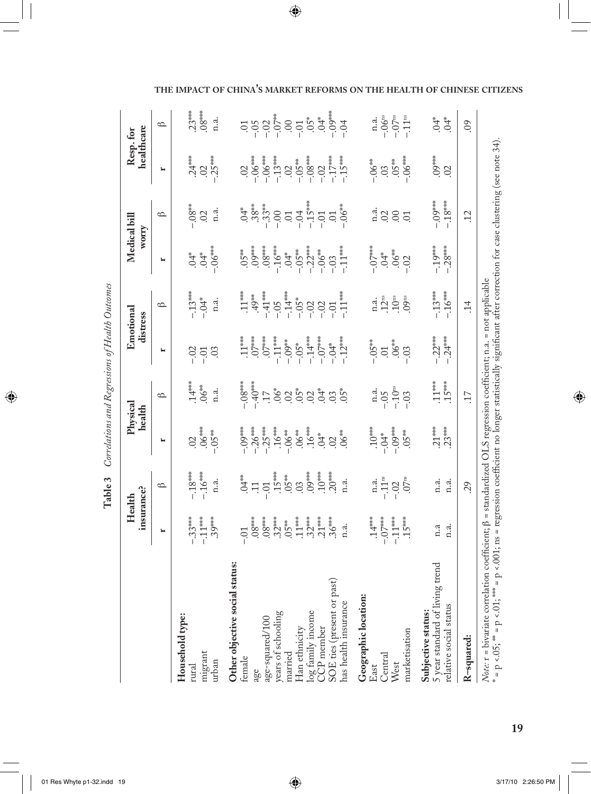|                                                                                                                                                                                                                                                                                    |                                                                                                                       | insurance?<br>Health                                                                                                   | Physical<br>health                                                                                    |                                                                                                                   |                                                                                                                                 | Emotional<br>distress                                                                                    | Medical bill<br>WOITY                                                                                                                      |                                                                                        | healthcare<br>Resp. for                                                                                                             |                                                                           |
|------------------------------------------------------------------------------------------------------------------------------------------------------------------------------------------------------------------------------------------------------------------------------------|-----------------------------------------------------------------------------------------------------------------------|------------------------------------------------------------------------------------------------------------------------|-------------------------------------------------------------------------------------------------------|-------------------------------------------------------------------------------------------------------------------|---------------------------------------------------------------------------------------------------------------------------------|----------------------------------------------------------------------------------------------------------|--------------------------------------------------------------------------------------------------------------------------------------------|----------------------------------------------------------------------------------------|-------------------------------------------------------------------------------------------------------------------------------------|---------------------------------------------------------------------------|
|                                                                                                                                                                                                                                                                                    | H                                                                                                                     | $\spadesuit$                                                                                                           | ۳                                                                                                     | $\circ$                                                                                                           | Ħ                                                                                                                               | $\circ$                                                                                                  | Ħ                                                                                                                                          | $\circ$                                                                                | ۳                                                                                                                                   | $\circ$                                                                   |
| Household type:<br>migrant<br>urban<br>rural                                                                                                                                                                                                                                       | $-.11***$<br>$-33***$<br>$.39***$                                                                                     | $-16***$<br>$-18***$<br>n.a.                                                                                           | $.02$ ###<br>$.05**$                                                                                  | $14*$<br>$.06***$<br>n.a.                                                                                         | $-0.2$<br>03<br>$-0.1$                                                                                                          | $-.13***$<br>$-0.4*$<br>n.a.                                                                             | $-06***$<br>$.04*$<br>$+50.$                                                                                                               | $-0.8$ **<br>n.a.<br>$\overline{0}$                                                    | $.24***$<br>$-.25***$<br>$\overline{0}$                                                                                             | $.23***$<br>$.08***$<br>n.a.                                              |
| Other objective social status:<br>log family income<br>CCP member<br>SOE ties (present or past)<br>has health insurance<br>age<br>age-squared/100<br>years of schooling<br>Han ethnicity<br>married<br>female                                                                      | $.32***$<br>$.11***$<br>$.32***$<br>$.21***$<br>$.08***$<br>$.08***$<br>$.36***$<br>$05***$<br>n.a.<br>$\overline{C}$ | $.09***$<br>$10^{***}$<br>$.20***$<br>$.15***$<br>$.05***$<br>$+24$<br>n.a.<br>$\overline{0}$<br>$\Xi$<br>$\ddot{0}$ . | $-26***$<br>$.16***$<br>$.06$ **<br>$-25***$<br>$-0.09***$<br>$-0.06$ **<br>$06***$<br>$*$<br>$\odot$ | $40*3*10*$<br>$-08$ ***<br>$\ddot{z}$ $\ddot{z}$ $\ddot{z}$ $\ddot{z}$ $\ddot{z}$ $\ddot{z}$<br>$.04*$<br>$0.05*$ | $07***$<br>$-.11***$<br>$-.14***$<br>$-0.07***$<br>$-12***$<br>$07***$<br>$11***$<br>$-0.0$ <sup>**</sup><br>$-0.4*$<br>$-0.5*$ | $-41***$<br>$-.14***$<br>$-11***$<br>$.11***$<br>49**<br>$-0.5*$<br>$-0.5$<br>$-02$<br>$-0.2$<br>$-0.01$ | $-.22**$<br>$-11$<br>$.09***$<br>$-16***$<br>$.08***$<br>$-.05***$<br>$-.06**$<br>$.05***$<br>$\stackrel{*}{\leftrightarrow} 0.$<br>$-0.3$ | $-04$<br>$-15***$<br>$-01$<br>$-33**$<br>-33*<br>$-0.01$<br>$+50.$<br>$-0.00$<br>$\Xi$ | $-0.08***$<br>$-13***$<br>$-06***$<br>$-15***$<br>$-0.06***$<br>$-17***$<br>$-.05***$<br>$\ddot{\circ}$<br>$\overline{0}$<br>$-0.2$ |                                                                           |
| Geographic location:<br>marketisation<br>Central<br>West<br>East                                                                                                                                                                                                                   | $+5$<br>$14$ <sup>**</sup><br>$-11**$<br>$.15***$                                                                     | $1.4$ .<br>$-11^{\text{ns}}$<br>$-02$<br>$07$ <sup>ns</sup>                                                            | $.10***$<br>$-0.09***$<br>$05**$<br>$-50$ .                                                           | $-10ns$<br>n.a.<br>- 05<br>$-0.3$                                                                                 | $-0.05***$<br>$.06***$<br>03<br>$\Xi$                                                                                           | n.a.<br>12 $^{\rm ns}$<br>09 <sup>ns</sup><br>$\cdot 10^{\rm ns}$                                        | $.06***$<br>$\stackrel{*}{\leftrightarrow} 0$ .<br>$-0.2$                                                                                  | n.a.<br>$\overline{0}$<br>$\odot$<br>$\overline{0}$                                    | $-06***$<br>$.05**$<br>$-0.06**$<br>$\ddot{\circ}$                                                                                  | $-06$ <sup>ns</sup><br>$-0.07$ <sup>ns</sup><br>$-11^{\text{ns}}$<br>n.a. |
| 5 year standard of living trend<br>relative social status<br>Subjective status:                                                                                                                                                                                                    | n.a<br>n.a.                                                                                                           | n.a.<br>n.a.                                                                                                           | $.21***$<br>$.23***$                                                                                  | $.11***$<br>$.15***$                                                                                              | $-22***$<br>$-24***$                                                                                                            | $-13***$<br>$-16***$                                                                                     | $-19***$<br>$-28***$                                                                                                                       | $-0.09***$<br>$-18***$                                                                 | $-0.01$<br>$\odot$                                                                                                                  | $\stackrel{*}{\leftrightarrow}$<br>$+50.$                                 |
| R-squared:                                                                                                                                                                                                                                                                         |                                                                                                                       | 29                                                                                                                     |                                                                                                       | $\overline{17}$                                                                                                   |                                                                                                                                 | $\ddot{1}$                                                                                               |                                                                                                                                            | $\ddot{c}$                                                                             |                                                                                                                                     | $\overline{0}$                                                            |
| = p <.05; ** = p <.01; *** = p <.001; ns = regression coefficient no longer statistically significant after correction for case clustering (see note 34).<br>Note: 1 = bivariate correlation coefficient; $\beta$ = standardized OLS regression coefficient; n.a. = not applicable |                                                                                                                       |                                                                                                                        |                                                                                                       |                                                                                                                   |                                                                                                                                 |                                                                                                          |                                                                                                                                            |                                                                                        |                                                                                                                                     |                                                                           |

Table 3 Correlations and Regressions of Health Outcomes **Table 3** *Correlations and Regressions of Health Outcomes*

 $\bigoplus$ 

**THE IMPACT OF CHINA'S MARKET REFORMS ON THE HEALTH OF CHINESE CITIZENS**

 $\bigoplus$ 

01 Res Whyte p1-32.indd 19 3/17/10 2:26:50 PM

**19**

 $\bigoplus$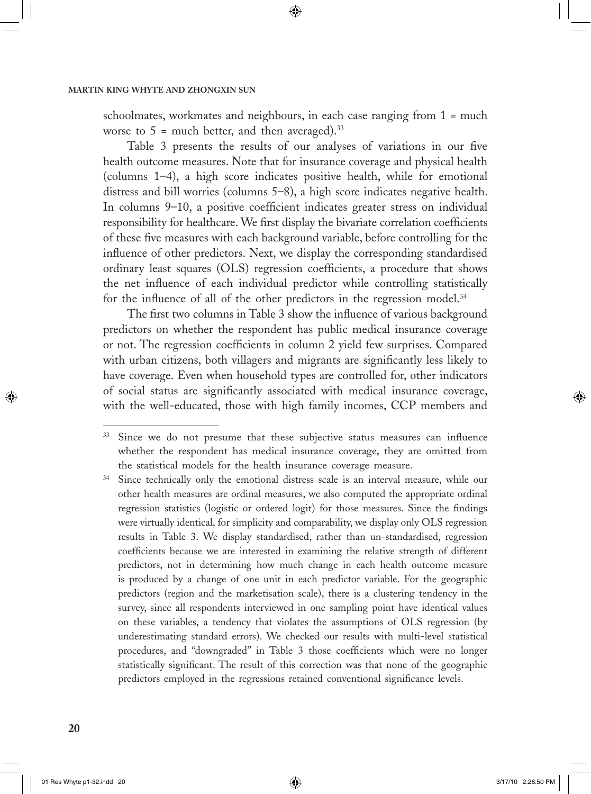schoolmates, workmates and neighbours, in each case ranging from 1 = much worse to  $5 =$  much better, and then averaged).<sup>33</sup>

⊕

Table 3 presents the results of our analyses of variations in our five health outcome measures. Note that for insurance coverage and physical health (columns 1–4), a high score indicates positive health, while for emotional distress and bill worries (columns 5–8), a high score indicates negative health. In columns 9–10, a positive coefficient indicates greater stress on individual responsibility for healthcare. We first display the bivariate correlation coefficients of these five measures with each background variable, before controlling for the influence of other predictors. Next, we display the corresponding standardised ordinary least squares (OLS) regression coefficients, a procedure that shows the net influence of each individual predictor while controlling statistically for the influence of all of the other predictors in the regression model.<sup>34</sup>

The first two columns in Table 3 show the influence of various background predictors on whether the respondent has public medical insurance coverage or not. The regression coefficients in column 2 yield few surprises. Compared with urban citizens, both villagers and migrants are significantly less likely to have coverage. Even when household types are controlled for, other indicators of social status are significantly associated with medical insurance coverage, with the well-educated, those with high family incomes, CCP members and

↔

<sup>&</sup>lt;sup>33</sup> Since we do not presume that these subjective status measures can influence whether the respondent has medical insurance coverage, they are omitted from the statistical models for the health insurance coverage measure.

<sup>&</sup>lt;sup>34</sup> Since technically only the emotional distress scale is an interval measure, while our other health measures are ordinal measures, we also computed the appropriate ordinal regression statistics (logistic or ordered logit) for those measures. Since the findings were virtually identical, for simplicity and comparability, we display only OLS regression results in Table 3. We display standardised, rather than un-standardised, regression coefficients because we are interested in examining the relative strength of different predictors, not in determining how much change in each health outcome measure is produced by a change of one unit in each predictor variable. For the geographic predictors (region and the marketisation scale), there is a clustering tendency in the survey, since all respondents interviewed in one sampling point have identical values on these variables, a tendency that violates the assumptions of OLS regression (by underestimating standard errors). We checked our results with multi-level statistical procedures, and "downgraded" in Table 3 those coefficients which were no longer statistically significant. The result of this correction was that none of the geographic predictors employed in the regressions retained conventional significance levels.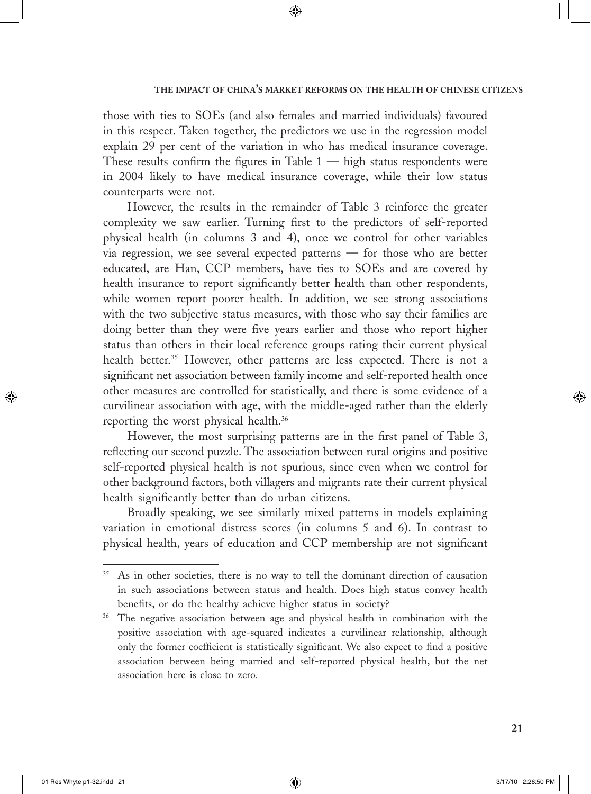those with ties to SOEs (and also females and married individuals) favoured in this respect. Taken together, the predictors we use in the regression model explain 29 per cent of the variation in who has medical insurance coverage. These results confirm the figures in Table  $1 -$  high status respondents were in 2004 likely to have medical insurance coverage, while their low status counterparts were not.

⊕

However, the results in the remainder of Table 3 reinforce the greater complexity we saw earlier. Turning first to the predictors of self-reported physical health (in columns 3 and 4), once we control for other variables via regression, we see several expected patterns — for those who are better educated, are Han, CCP members, have ties to SOEs and are covered by health insurance to report significantly better health than other respondents, while women report poorer health. In addition, we see strong associations with the two subjective status measures, with those who say their families are doing better than they were five years earlier and those who report higher status than others in their local reference groups rating their current physical health better.<sup>35</sup> However, other patterns are less expected. There is not a significant net association between family income and self-reported health once other measures are controlled for statistically, and there is some evidence of a curvilinear association with age, with the middle-aged rather than the elderly reporting the worst physical health.36

However, the most surprising patterns are in the first panel of Table 3, reflecting our second puzzle. The association between rural origins and positive self-reported physical health is not spurious, since even when we control for other background factors, both villagers and migrants rate their current physical health significantly better than do urban citizens.

Broadly speaking, we see similarly mixed patterns in models explaining variation in emotional distress scores (in columns 5 and 6). In contrast to physical health, years of education and CCP membership are not significant  $\bigoplus$ 

 $\Leftrightarrow$ 

As in other societies, there is no way to tell the dominant direction of causation in such associations between status and health. Does high status convey health benefits, or do the healthy achieve higher status in society?

<sup>&</sup>lt;sup>36</sup> The negative association between age and physical health in combination with the positive association with age-squared indicates a curvilinear relationship, although only the former coefficient is statistically significant. We also expect to find a positive association between being married and self-reported physical health, but the net association here is close to zero.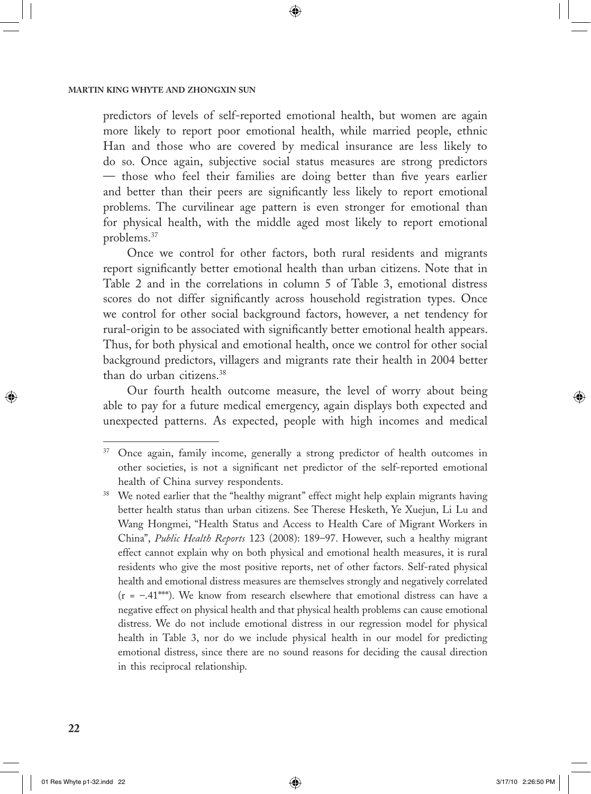predictors of levels of self-reported emotional health, but women are again more likely to report poor emotional health, while married people, ethnic Han and those who are covered by medical insurance are less likely to do so. Once again, subjective social status measures are strong predictors — those who feel their families are doing better than five years earlier and better than their peers are significantly less likely to report emotional problems. The curvilinear age pattern is even stronger for emotional than for physical health, with the middle aged most likely to report emotional problems.37

⊕

Once we control for other factors, both rural residents and migrants report significantly better emotional health than urban citizens. Note that in Table 2 and in the correlations in column 5 of Table 3, emotional distress scores do not differ significantly across household registration types. Once we control for other social background factors, however, a net tendency for rural-origin to be associated with significantly better emotional health appears. Thus, for both physical and emotional health, once we control for other social background predictors, villagers and migrants rate their health in 2004 better than do urban citizens.38

Our fourth health outcome measure, the level of worry about being able to pay for a future medical emergency, again displays both expected and unexpected patterns. As expected, people with high incomes and medical

 $\bigcirc$ 

<sup>&</sup>lt;sup>37</sup> Once again, family income, generally a strong predictor of health outcomes in other societies, is not a significant net predictor of the self-reported emotional health of China survey respondents.

<sup>&</sup>lt;sup>38</sup> We noted earlier that the "healthy migrant" effect might help explain migrants having better health status than urban citizens. See Therese Hesketh, Ye Xuejun, Li Lu and Wang Hongmei, "Health Status and Access to Health Care of Migrant Workers in China", *Public Health Reports* 123 (2008): 189–97. However, such a healthy migrant effect cannot explain why on both physical and emotional health measures, it is rural residents who give the most positive reports, net of other factors. Self-rated physical health and emotional distress measures are themselves strongly and negatively correlated  $(r = -0.41***)$ . We know from research elsewhere that emotional distress can have a negative effect on physical health and that physical health problems can cause emotional distress. We do not include emotional distress in our regression model for physical health in Table 3, nor do we include physical health in our model for predicting emotional distress, since there are no sound reasons for deciding the causal direction in this reciprocal relationship.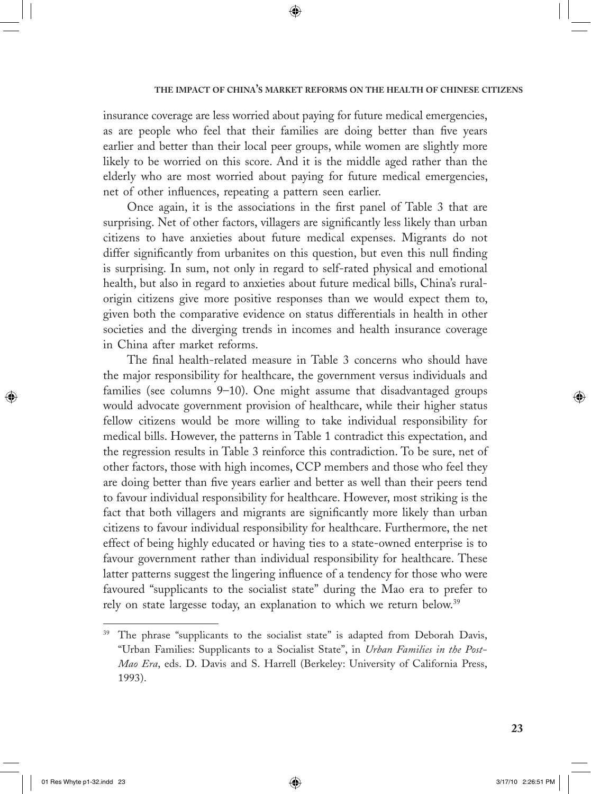insurance coverage are less worried about paying for future medical emergencies, as are people who feel that their families are doing better than five years earlier and better than their local peer groups, while women are slightly more likely to be worried on this score. And it is the middle aged rather than the elderly who are most worried about paying for future medical emergencies, net of other influences, repeating a pattern seen earlier.

⊕

Once again, it is the associations in the first panel of Table 3 that are surprising. Net of other factors, villagers are significantly less likely than urban citizens to have anxieties about future medical expenses. Migrants do not differ significantly from urbanites on this question, but even this null finding is surprising. In sum, not only in regard to self-rated physical and emotional health, but also in regard to anxieties about future medical bills, China's ruralorigin citizens give more positive responses than we would expect them to, given both the comparative evidence on status differentials in health in other societies and the diverging trends in incomes and health insurance coverage in China after market reforms.

The final health-related measure in Table 3 concerns who should have the major responsibility for healthcare, the government versus individuals and families (see columns 9–10). One might assume that disadvantaged groups would advocate government provision of healthcare, while their higher status fellow citizens would be more willing to take individual responsibility for medical bills. However, the patterns in Table 1 contradict this expectation, and the regression results in Table 3 reinforce this contradiction. To be sure, net of other factors, those with high incomes, CCP members and those who feel they are doing better than five years earlier and better as well than their peers tend to favour individual responsibility for healthcare. However, most striking is the fact that both villagers and migrants are significantly more likely than urban citizens to favour individual responsibility for healthcare. Furthermore, the net effect of being highly educated or having ties to a state-owned enterprise is to favour government rather than individual responsibility for healthcare. These latter patterns suggest the lingering influence of a tendency for those who were favoured "supplicants to the socialist state" during the Mao era to prefer to rely on state largesse today, an explanation to which we return below.<sup>39</sup>

⊕

 $\bigcirc$ 

<sup>&</sup>lt;sup>39</sup> The phrase "supplicants to the socialist state" is adapted from Deborah Davis, "Urban Families: Supplicants to a Socialist State", in *Urban Families in the Post-Mao Era*, eds. D. Davis and S. Harrell (Berkeley: University of California Press, 1993).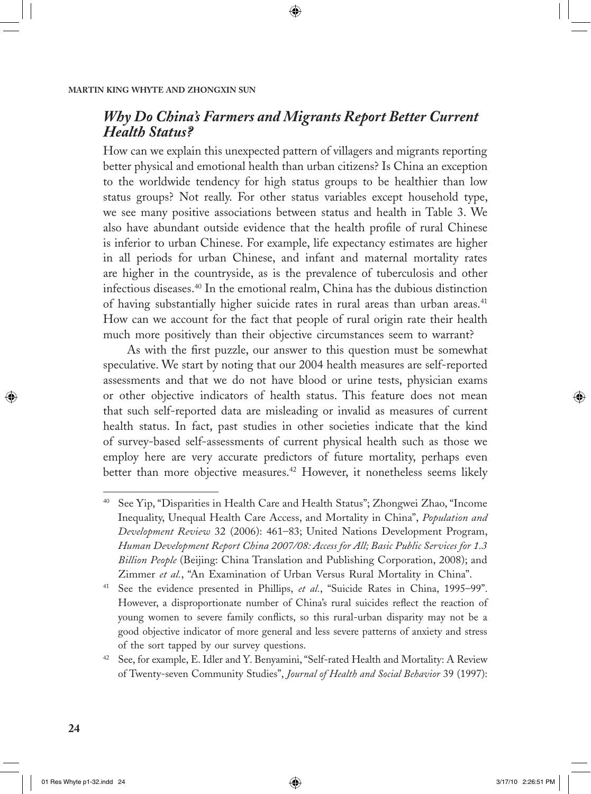# *Why Do China's Farmers and Migrants Report Better Current Health Status?*

◈

How can we explain this unexpected pattern of villagers and migrants reporting better physical and emotional health than urban citizens? Is China an exception to the worldwide tendency for high status groups to be healthier than low status groups? Not really. For other status variables except household type, we see many positive associations between status and health in Table 3. We also have abundant outside evidence that the health profile of rural Chinese is inferior to urban Chinese. For example, life expectancy estimates are higher in all periods for urban Chinese, and infant and maternal mortality rates are higher in the countryside, as is the prevalence of tuberculosis and other infectious diseases.40 In the emotional realm, China has the dubious distinction of having substantially higher suicide rates in rural areas than urban areas.<sup>41</sup> How can we account for the fact that people of rural origin rate their health much more positively than their objective circumstances seem to warrant?

As with the first puzzle, our answer to this question must be somewhat speculative. We start by noting that our 2004 health measures are self-reported assessments and that we do not have blood or urine tests, physician exams or other objective indicators of health status. This feature does not mean that such self-reported data are misleading or invalid as measures of current health status. In fact, past studies in other societies indicate that the kind of survey-based self-assessments of current physical health such as those we employ here are very accurate predictors of future mortality, perhaps even better than more objective measures.<sup>42</sup> However, it nonetheless seems likely

 $\bigcirc$ 

<sup>40</sup> See Yip, "Disparities in Health Care and Health Status"; Zhongwei Zhao, "Income Inequality, Unequal Health Care Access, and Mortality in China", *Population and Development Review* 32 (2006): 461–83; United Nations Development Program, *Human Development Report China 2007/08: Access for All; Basic Public Services for 1.3 Billion People* (Beijing: China Translation and Publishing Corporation, 2008); and Zimmer *et al.*, "An Examination of Urban Versus Rural Mortality in China".

<sup>&</sup>lt;sup>41</sup> See the evidence presented in Phillips, et al., "Suicide Rates in China, 1995–99". However, a disproportionate number of China's rural suicides reflect the reaction of young women to severe family conflicts, so this rural-urban disparity may not be a good objective indicator of more general and less severe patterns of anxiety and stress of the sort tapped by our survey questions.

<sup>42</sup> See, for example, E. Idler and Y. Benyamini, "Self-rated Health and Mortality: A Review of Twenty-seven Community Studies", *Journal of Health and Social Behavior* 39 (1997):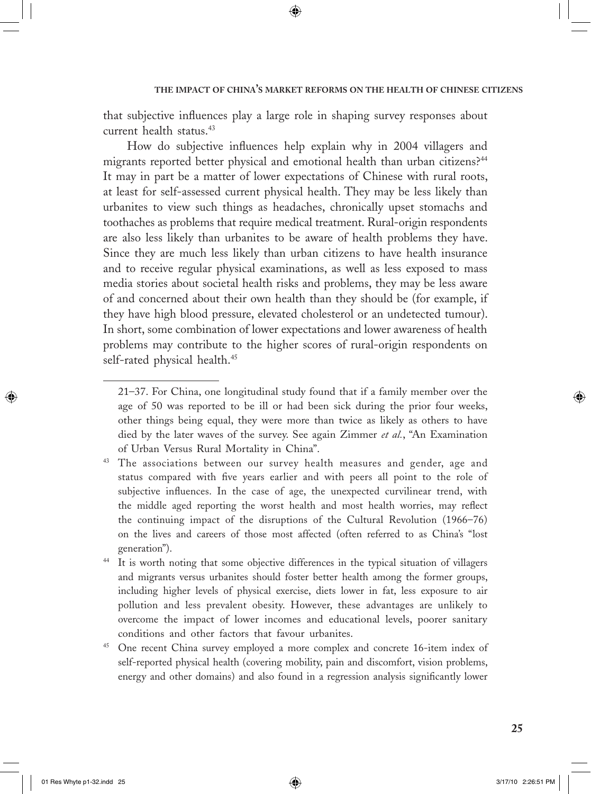that subjective influences play a large role in shaping survey responses about current health status.<sup>43</sup>

⊕

How do subjective influences help explain why in 2004 villagers and migrants reported better physical and emotional health than urban citizens?<sup>44</sup> It may in part be a matter of lower expectations of Chinese with rural roots, at least for self-assessed current physical health. They may be less likely than urbanites to view such things as headaches, chronically upset stomachs and toothaches as problems that require medical treatment. Rural-origin respondents are also less likely than urbanites to be aware of health problems they have. Since they are much less likely than urban citizens to have health insurance and to receive regular physical examinations, as well as less exposed to mass media stories about societal health risks and problems, they may be less aware of and concerned about their own health than they should be (for example, if they have high blood pressure, elevated cholesterol or an undetected tumour). In short, some combination of lower expectations and lower awareness of health problems may contribute to the higher scores of rural-origin respondents on self-rated physical health.<sup>45</sup>

⊕

 $\bigcirc$ 

 <sup>21–37.</sup> For China, one longitudinal study found that if a family member over the age of 50 was reported to be ill or had been sick during the prior four weeks, other things being equal, they were more than twice as likely as others to have died by the later waves of the survey. See again Zimmer *et al.*, "An Examination of Urban Versus Rural Mortality in China".

<sup>&</sup>lt;sup>43</sup> The associations between our survey health measures and gender, age and status compared with five years earlier and with peers all point to the role of subjective influences. In the case of age, the unexpected curvilinear trend, with the middle aged reporting the worst health and most health worries, may reflect the continuing impact of the disruptions of the Cultural Revolution (1966–76) on the lives and careers of those most affected (often referred to as China's "lost generation").

<sup>44</sup> It is worth noting that some objective differences in the typical situation of villagers and migrants versus urbanites should foster better health among the former groups, including higher levels of physical exercise, diets lower in fat, less exposure to air pollution and less prevalent obesity. However, these advantages are unlikely to overcome the impact of lower incomes and educational levels, poorer sanitary conditions and other factors that favour urbanites.

<sup>&</sup>lt;sup>45</sup> One recent China survey employed a more complex and concrete 16-item index of self-reported physical health (covering mobility, pain and discomfort, vision problems, energy and other domains) and also found in a regression analysis significantly lower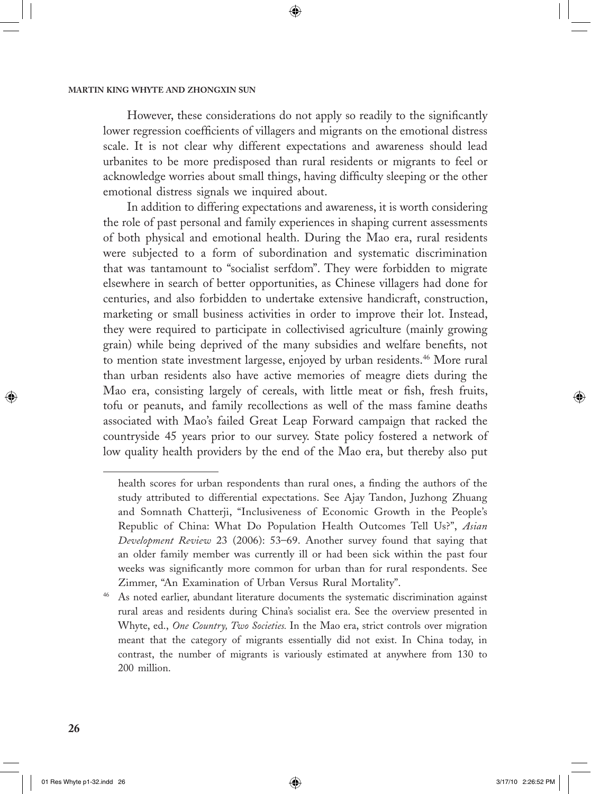However, these considerations do not apply so readily to the significantly lower regression coefficients of villagers and migrants on the emotional distress scale. It is not clear why different expectations and awareness should lead urbanites to be more predisposed than rural residents or migrants to feel or acknowledge worries about small things, having difficulty sleeping or the other emotional distress signals we inquired about.

⊕

In addition to differing expectations and awareness, it is worth considering the role of past personal and family experiences in shaping current assessments of both physical and emotional health. During the Mao era, rural residents were subjected to a form of subordination and systematic discrimination that was tantamount to "socialist serfdom". They were forbidden to migrate elsewhere in search of better opportunities, as Chinese villagers had done for centuries, and also forbidden to undertake extensive handicraft, construction, marketing or small business activities in order to improve their lot. Instead, they were required to participate in collectivised agriculture (mainly growing grain) while being deprived of the many subsidies and welfare benefits, not to mention state investment largesse, enjoyed by urban residents.<sup>46</sup> More rural than urban residents also have active memories of meagre diets during the Mao era, consisting largely of cereals, with little meat or fish, fresh fruits, tofu or peanuts, and family recollections as well of the mass famine deaths associated with Mao's failed Great Leap Forward campaign that racked the countryside 45 years prior to our survey. State policy fostered a network of low quality health providers by the end of the Mao era, but thereby also put

↔

↔

health scores for urban respondents than rural ones, a finding the authors of the study attributed to differential expectations. See Ajay Tandon, Juzhong Zhuang and Somnath Chatterji, "Inclusiveness of Economic Growth in the People's Republic of China: What Do Population Health Outcomes Tell Us?", *Asian Development Review* 23 (2006): 53–69. Another survey found that saying that an older family member was currently ill or had been sick within the past four weeks was significantly more common for urban than for rural respondents. See Zimmer, "An Examination of Urban Versus Rural Mortality".

<sup>&</sup>lt;sup>46</sup> As noted earlier, abundant literature documents the systematic discrimination against rural areas and residents during China's socialist era. See the overview presented in Whyte, ed., *One Country, Two Societies.* In the Mao era, strict controls over migration meant that the category of migrants essentially did not exist. In China today, in contrast, the number of migrants is variously estimated at anywhere from 130 to 200 million.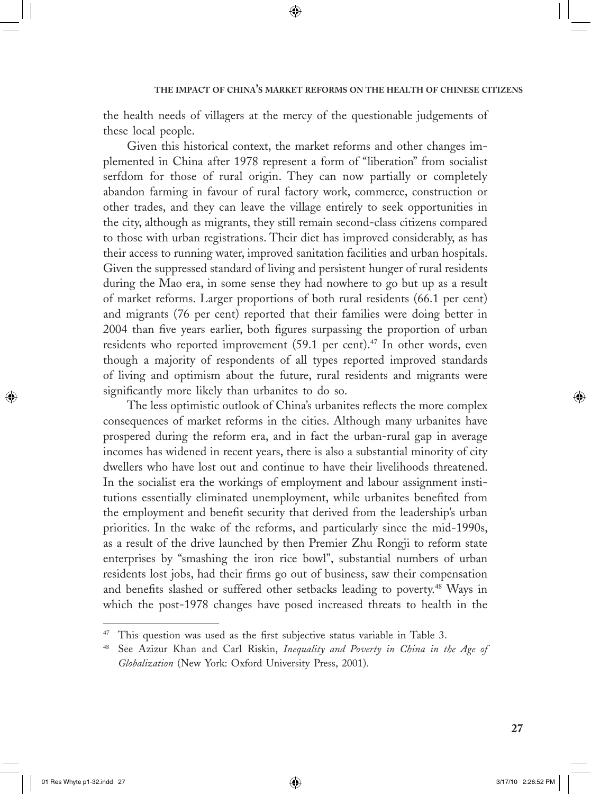the health needs of villagers at the mercy of the questionable judgements of these local people.

⊕

Given this historical context, the market reforms and other changes implemented in China after 1978 represent a form of "liberation" from socialist serfdom for those of rural origin. They can now partially or completely abandon farming in favour of rural factory work, commerce, construction or other trades, and they can leave the village entirely to seek opportunities in the city, although as migrants, they still remain second-class citizens compared to those with urban registrations. Their diet has improved considerably, as has their access to running water, improved sanitation facilities and urban hospitals. Given the suppressed standard of living and persistent hunger of rural residents during the Mao era, in some sense they had nowhere to go but up as a result of market reforms. Larger proportions of both rural residents (66.1 per cent) and migrants (76 per cent) reported that their families were doing better in 2004 than five years earlier, both figures surpassing the proportion of urban residents who reported improvement  $(59.1 \text{ per cent})$ .<sup>47</sup> In other words, even though a majority of respondents of all types reported improved standards of living and optimism about the future, rural residents and migrants were significantly more likely than urbanites to do so.

The less optimistic outlook of China's urbanites reflects the more complex consequences of market reforms in the cities. Although many urbanites have prospered during the reform era, and in fact the urban-rural gap in average incomes has widened in recent years, there is also a substantial minority of city dwellers who have lost out and continue to have their livelihoods threatened. In the socialist era the workings of employment and labour assignment institutions essentially eliminated unemployment, while urbanites benefited from the employment and benefit security that derived from the leadership's urban priorities. In the wake of the reforms, and particularly since the mid-1990s, as a result of the drive launched by then Premier Zhu Rongji to reform state enterprises by "smashing the iron rice bowl", substantial numbers of urban residents lost jobs, had their firms go out of business, saw their compensation and benefits slashed or suffered other setbacks leading to poverty.<sup>48</sup> Ways in which the post-1978 changes have posed increased threats to health in the

⊕

 $\bigcirc$ 

<sup>&</sup>lt;sup>47</sup> This question was used as the first subjective status variable in Table 3.

<sup>48</sup> See Azizur Khan and Carl Riskin, *Inequality and Poverty in China in the Age of Globalization* (New York: Oxford University Press, 2001).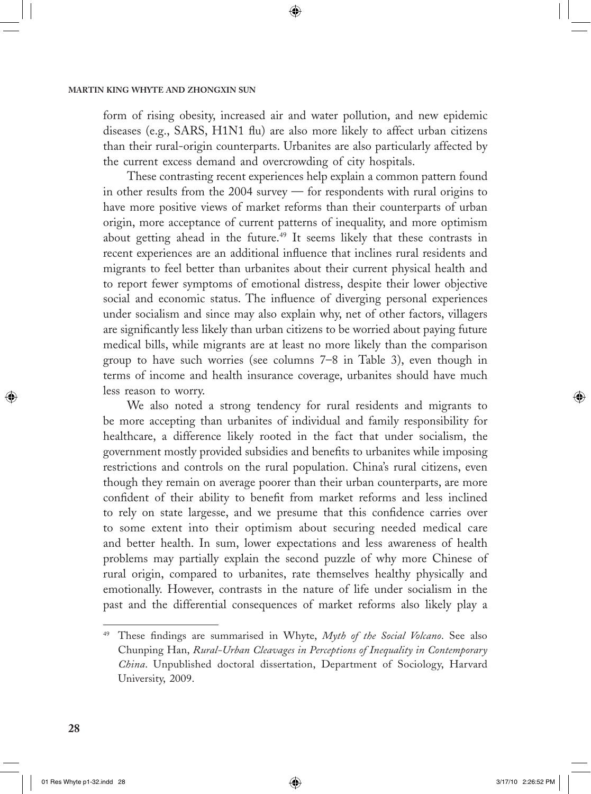form of rising obesity, increased air and water pollution, and new epidemic diseases (e.g., SARS, H1N1 flu) are also more likely to affect urban citizens than their rural-origin counterparts. Urbanites are also particularly affected by the current excess demand and overcrowding of city hospitals.

⊕

These contrasting recent experiences help explain a common pattern found in other results from the 2004 survey — for respondents with rural origins to have more positive views of market reforms than their counterparts of urban origin, more acceptance of current patterns of inequality, and more optimism about getting ahead in the future.<sup>49</sup> It seems likely that these contrasts in recent experiences are an additional influence that inclines rural residents and migrants to feel better than urbanites about their current physical health and to report fewer symptoms of emotional distress, despite their lower objective social and economic status. The influence of diverging personal experiences under socialism and since may also explain why, net of other factors, villagers are significantly less likely than urban citizens to be worried about paying future medical bills, while migrants are at least no more likely than the comparison group to have such worries (see columns 7–8 in Table 3), even though in terms of income and health insurance coverage, urbanites should have much less reason to worry.

We also noted a strong tendency for rural residents and migrants to be more accepting than urbanites of individual and family responsibility for healthcare, a difference likely rooted in the fact that under socialism, the government mostly provided subsidies and benefits to urbanites while imposing restrictions and controls on the rural population. China's rural citizens, even though they remain on average poorer than their urban counterparts, are more confident of their ability to benefit from market reforms and less inclined to rely on state largesse, and we presume that this confidence carries over to some extent into their optimism about securing needed medical care and better health. In sum, lower expectations and less awareness of health problems may partially explain the second puzzle of why more Chinese of rural origin, compared to urbanites, rate themselves healthy physically and emotionally. However, contrasts in the nature of life under socialism in the past and the differential consequences of market reforms also likely play a

 $\bigcirc$ 

<sup>49</sup> These findings are summarised in Whyte, *Myth of the Social Volcano*. See also Chunping Han, *Rural-Urban Cleavages in Perceptions of Inequality in Contemporary China*. Unpublished doctoral dissertation, Department of Sociology, Harvard University, 2009.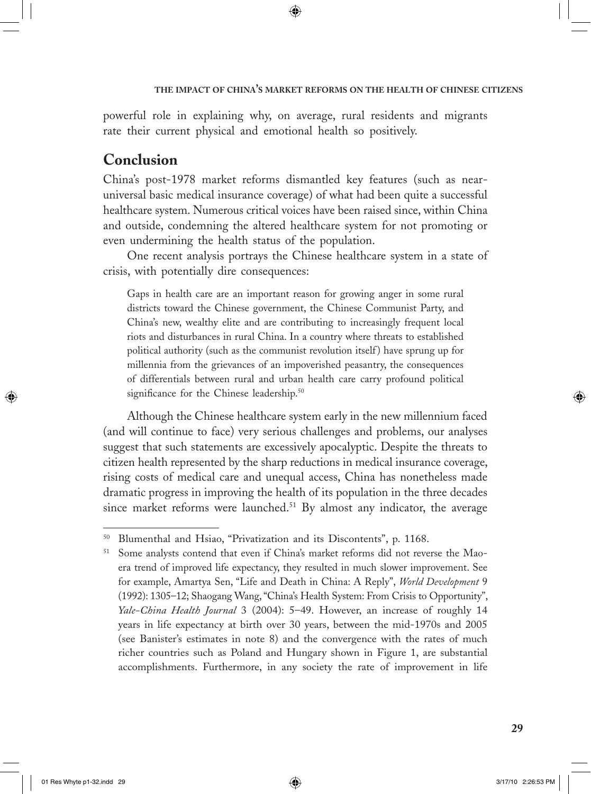powerful role in explaining why, on average, rural residents and migrants rate their current physical and emotional health so positively.

⊕

# **Conclusion**

China's post-1978 market reforms dismantled key features (such as nearuniversal basic medical insurance coverage) of what had been quite a successful healthcare system. Numerous critical voices have been raised since, within China and outside, condemning the altered healthcare system for not promoting or even undermining the health status of the population.

One recent analysis portrays the Chinese healthcare system in a state of crisis, with potentially dire consequences:

Gaps in health care are an important reason for growing anger in some rural districts toward the Chinese government, the Chinese Communist Party, and China's new, wealthy elite and are contributing to increasingly frequent local riots and disturbances in rural China. In a country where threats to established political authority (such as the communist revolution itself ) have sprung up for millennia from the grievances of an impoverished peasantry, the consequences of differentials between rural and urban health care carry profound political significance for the Chinese leadership.<sup>50</sup>

Although the Chinese healthcare system early in the new millennium faced (and will continue to face) very serious challenges and problems, our analyses suggest that such statements are excessively apocalyptic. Despite the threats to citizen health represented by the sharp reductions in medical insurance coverage, rising costs of medical care and unequal access, China has nonetheless made dramatic progress in improving the health of its population in the three decades since market reforms were launched.<sup>51</sup> By almost any indicator, the average

 $\bigoplus$ 

<sup>50</sup> Blumenthal and Hsiao, "Privatization and its Discontents", p. 1168.

<sup>51</sup> Some analysts contend that even if China's market reforms did not reverse the Maoera trend of improved life expectancy, they resulted in much slower improvement. See for example, Amartya Sen, "Life and Death in China: A Reply", *World Development* 9 (1992): 1305–12; Shaogang Wang, "China's Health System: From Crisis to Opportunity", *Yale-China Health Journal* 3 (2004): 5–49. However, an increase of roughly 14 years in life expectancy at birth over 30 years, between the mid-1970s and 2005 (see Banister's estimates in note 8) and the convergence with the rates of much richer countries such as Poland and Hungary shown in Figure 1, are substantial accomplishments. Furthermore, in any society the rate of improvement in life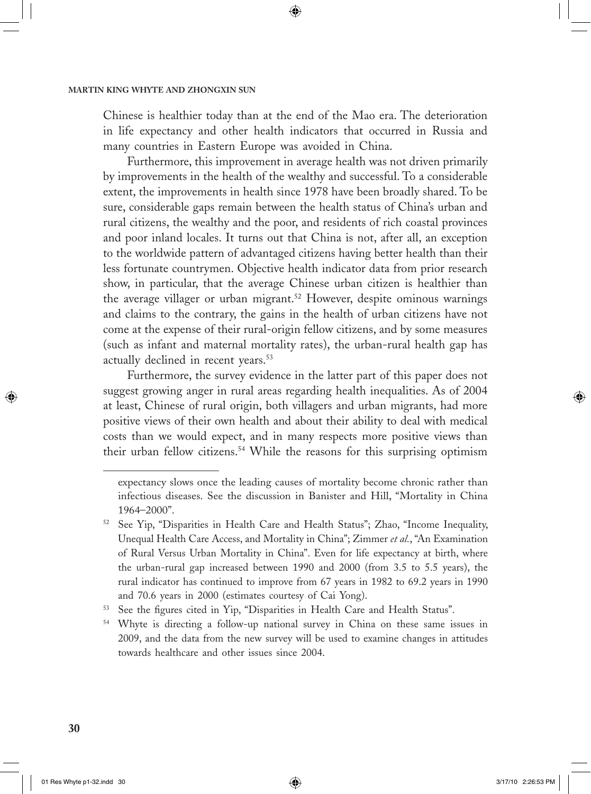Chinese is healthier today than at the end of the Mao era. The deterioration in life expectancy and other health indicators that occurred in Russia and many countries in Eastern Europe was avoided in China.

◈

Furthermore, this improvement in average health was not driven primarily by improvements in the health of the wealthy and successful. To a considerable extent, the improvements in health since 1978 have been broadly shared. To be sure, considerable gaps remain between the health status of China's urban and rural citizens, the wealthy and the poor, and residents of rich coastal provinces and poor inland locales. It turns out that China is not, after all, an exception to the worldwide pattern of advantaged citizens having better health than their less fortunate countrymen. Objective health indicator data from prior research show, in particular, that the average Chinese urban citizen is healthier than the average villager or urban migrant.<sup>52</sup> However, despite ominous warnings and claims to the contrary, the gains in the health of urban citizens have not come at the expense of their rural-origin fellow citizens, and by some measures (such as infant and maternal mortality rates), the urban-rural health gap has actually declined in recent years.<sup>53</sup>

Furthermore, the survey evidence in the latter part of this paper does not suggest growing anger in rural areas regarding health inequalities. As of 2004 at least, Chinese of rural origin, both villagers and urban migrants, had more positive views of their own health and about their ability to deal with medical costs than we would expect, and in many respects more positive views than their urban fellow citizens.<sup>54</sup> While the reasons for this surprising optimism

 $\bigcirc$ 

↔

expectancy slows once the leading causes of mortality become chronic rather than infectious diseases. See the discussion in Banister and Hill, "Mortality in China 1964–2000".

 $52$  See Yip, "Disparities in Health Care and Health Status"; Zhao, "Income Inequality, Unequal Health Care Access, and Mortality in China"; Zimmer *et al.*, "An Examination of Rural Versus Urban Mortality in China". Even for life expectancy at birth, where the urban-rural gap increased between 1990 and 2000 (from 3.5 to 5.5 years), the rural indicator has continued to improve from 67 years in 1982 to 69.2 years in 1990 and 70.6 years in 2000 (estimates courtesy of Cai Yong).

See the figures cited in Yip, "Disparities in Health Care and Health Status".

<sup>54</sup> Whyte is directing a follow-up national survey in China on these same issues in 2009, and the data from the new survey will be used to examine changes in attitudes towards healthcare and other issues since 2004.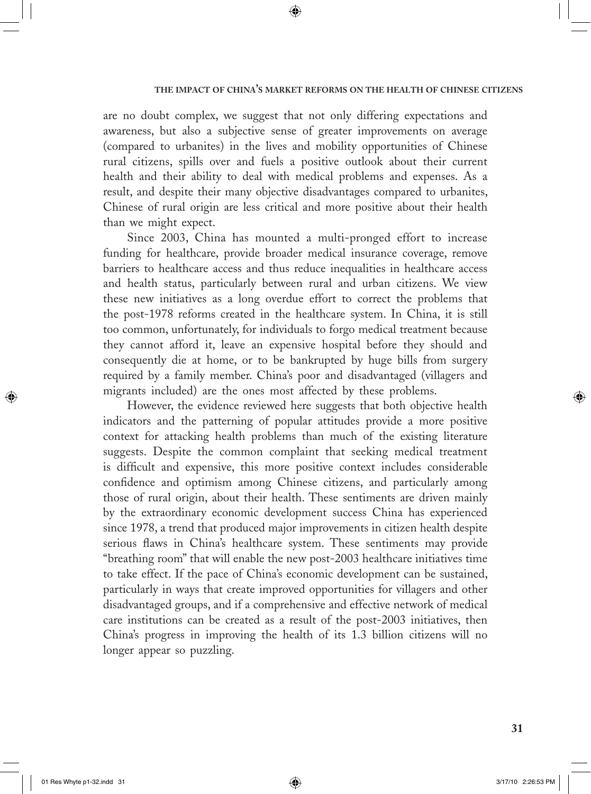are no doubt complex, we suggest that not only differing expectations and awareness, but also a subjective sense of greater improvements on average (compared to urbanites) in the lives and mobility opportunities of Chinese rural citizens, spills over and fuels a positive outlook about their current health and their ability to deal with medical problems and expenses. As a result, and despite their many objective disadvantages compared to urbanites, Chinese of rural origin are less critical and more positive about their health than we might expect.

⊕

Since 2003, China has mounted a multi-pronged effort to increase funding for healthcare, provide broader medical insurance coverage, remove barriers to healthcare access and thus reduce inequalities in healthcare access and health status, particularly between rural and urban citizens. We view these new initiatives as a long overdue effort to correct the problems that the post-1978 reforms created in the healthcare system. In China, it is still too common, unfortunately, for individuals to forgo medical treatment because they cannot afford it, leave an expensive hospital before they should and consequently die at home, or to be bankrupted by huge bills from surgery required by a family member. China's poor and disadvantaged (villagers and migrants included) are the ones most affected by these problems.

However, the evidence reviewed here suggests that both objective health indicators and the patterning of popular attitudes provide a more positive context for attacking health problems than much of the existing literature suggests. Despite the common complaint that seeking medical treatment is difficult and expensive, this more positive context includes considerable confidence and optimism among Chinese citizens, and particularly among those of rural origin, about their health. These sentiments are driven mainly by the extraordinary economic development success China has experienced since 1978, a trend that produced major improvements in citizen health despite serious flaws in China's healthcare system. These sentiments may provide "breathing room" that will enable the new post-2003 healthcare initiatives time to take effect. If the pace of China's economic development can be sustained, particularly in ways that create improved opportunities for villagers and other disadvantaged groups, and if a comprehensive and effective network of medical care institutions can be created as a result of the post-2003 initiatives, then China's progress in improving the health of its 1.3 billion citizens will no longer appear so puzzling.

⊕

 $\bigcirc$